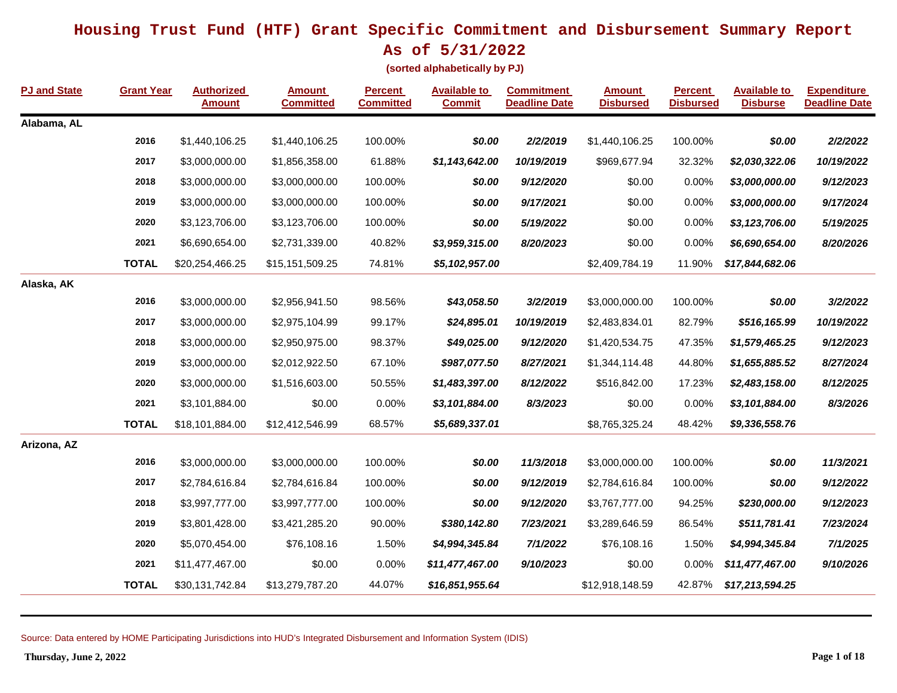**As of 5/31/2022**

**(sorted alphabetically by PJ)**

| <b>PJ and State</b> | <b>Grant Year</b> | <b>Authorized</b><br><b>Amount</b> | <b>Amount</b><br><b>Committed</b> | <b>Percent</b><br><b>Committed</b> | <b>Available to</b><br><b>Commit</b> | <b>Commitment</b><br><b>Deadline Date</b> | <b>Amount</b><br><b>Disbursed</b> | <b>Percent</b><br><b>Disbursed</b> | <b>Available to</b><br><b>Disburse</b> | <b>Expenditure</b><br><b>Deadline Date</b> |
|---------------------|-------------------|------------------------------------|-----------------------------------|------------------------------------|--------------------------------------|-------------------------------------------|-----------------------------------|------------------------------------|----------------------------------------|--------------------------------------------|
| Alabama, AL         |                   |                                    |                                   |                                    |                                      |                                           |                                   |                                    |                                        |                                            |
|                     | 2016              | \$1,440,106.25                     | \$1,440,106.25                    | 100.00%                            | \$0.00                               | 2/2/2019                                  | \$1,440,106.25                    | 100.00%                            | \$0.00                                 | 2/2/2022                                   |
|                     | 2017              | \$3,000,000.00                     | \$1,856,358.00                    | 61.88%                             | \$1,143,642.00                       | 10/19/2019                                | \$969,677.94                      | 32.32%                             | \$2,030,322.06                         | 10/19/2022                                 |
|                     | 2018              | \$3,000,000.00                     | \$3,000,000.00                    | 100.00%                            | \$0.00                               | 9/12/2020                                 | \$0.00                            | 0.00%                              | \$3,000,000.00                         | 9/12/2023                                  |
|                     | 2019              | \$3,000,000.00                     | \$3,000,000.00                    | 100.00%                            | \$0.00                               | 9/17/2021                                 | \$0.00                            | 0.00%                              | \$3,000,000.00                         | 9/17/2024                                  |
|                     | 2020              | \$3,123,706.00                     | \$3,123,706.00                    | 100.00%                            | \$0.00                               | 5/19/2022                                 | \$0.00                            | 0.00%                              | \$3,123,706.00                         | 5/19/2025                                  |
|                     | 2021              | \$6,690,654.00                     | \$2,731,339.00                    | 40.82%                             | \$3,959,315.00                       | 8/20/2023                                 | \$0.00                            | 0.00%                              | \$6,690,654.00                         | 8/20/2026                                  |
|                     | <b>TOTAL</b>      | \$20,254,466.25                    | \$15,151,509.25                   | 74.81%                             | \$5,102,957.00                       |                                           | \$2,409,784.19                    | 11.90%                             | \$17,844,682.06                        |                                            |
| Alaska, AK          |                   |                                    |                                   |                                    |                                      |                                           |                                   |                                    |                                        |                                            |
|                     | 2016              | \$3,000,000.00                     | \$2,956,941.50                    | 98.56%                             | \$43,058.50                          | 3/2/2019                                  | \$3,000,000.00                    | 100.00%                            | \$0.00                                 | 3/2/2022                                   |
|                     | 2017              | \$3,000,000.00                     | \$2,975,104.99                    | 99.17%                             | \$24,895.01                          | 10/19/2019                                | \$2,483,834.01                    | 82.79%                             | \$516,165.99                           | 10/19/2022                                 |
|                     | 2018              | \$3,000,000.00                     | \$2,950,975.00                    | 98.37%                             | \$49,025.00                          | 9/12/2020                                 | \$1,420,534.75                    | 47.35%                             | \$1,579,465.25                         | 9/12/2023                                  |
|                     | 2019              | \$3,000,000.00                     | \$2,012,922.50                    | 67.10%                             | \$987,077.50                         | 8/27/2021                                 | \$1,344,114.48                    | 44.80%                             | \$1,655,885.52                         | 8/27/2024                                  |
|                     | 2020              | \$3,000,000.00                     | \$1,516,603.00                    | 50.55%                             | \$1,483,397.00                       | 8/12/2022                                 | \$516,842.00                      | 17.23%                             | \$2,483,158.00                         | 8/12/2025                                  |
|                     | 2021              | \$3,101,884.00                     | \$0.00                            | 0.00%                              | \$3,101,884.00                       | 8/3/2023                                  | \$0.00                            | 0.00%                              | \$3,101,884.00                         | 8/3/2026                                   |
|                     | <b>TOTAL</b>      | \$18,101,884.00                    | \$12,412,546.99                   | 68.57%                             | \$5,689,337.01                       |                                           | \$8,765,325.24                    | 48.42%                             | \$9,336,558.76                         |                                            |
| Arizona, AZ         |                   |                                    |                                   |                                    |                                      |                                           |                                   |                                    |                                        |                                            |
|                     | 2016              | \$3,000,000.00                     | \$3,000,000.00                    | 100.00%                            | \$0.00                               | 11/3/2018                                 | \$3,000,000.00                    | 100.00%                            | \$0.00                                 | 11/3/2021                                  |
|                     | 2017              | \$2,784,616.84                     | \$2,784,616.84                    | 100.00%                            | \$0.00                               | 9/12/2019                                 | \$2,784,616.84                    | 100.00%                            | \$0.00                                 | 9/12/2022                                  |
|                     | 2018              | \$3,997,777.00                     | \$3,997,777.00                    | 100.00%                            | \$0.00                               | 9/12/2020                                 | \$3,767,777.00                    | 94.25%                             | \$230,000.00                           | 9/12/2023                                  |
|                     | 2019              | \$3,801,428.00                     | \$3,421,285.20                    | 90.00%                             | \$380,142.80                         | 7/23/2021                                 | \$3,289,646.59                    | 86.54%                             | \$511,781.41                           | 7/23/2024                                  |
|                     | 2020              | \$5,070,454.00                     | \$76,108.16                       | 1.50%                              | \$4,994,345.84                       | 7/1/2022                                  | \$76,108.16                       | 1.50%                              | \$4,994,345.84                         | 7/1/2025                                   |
|                     | 2021              | \$11,477,467.00                    | \$0.00                            | 0.00%                              | \$11,477,467.00                      | 9/10/2023                                 | \$0.00                            | 0.00%                              | \$11,477,467.00                        | 9/10/2026                                  |
|                     | <b>TOTAL</b>      | \$30,131,742.84                    | \$13,279,787.20                   | 44.07%                             | \$16,851,955.64                      |                                           | \$12,918,148.59                   | 42.87%                             | \$17,213,594.25                        |                                            |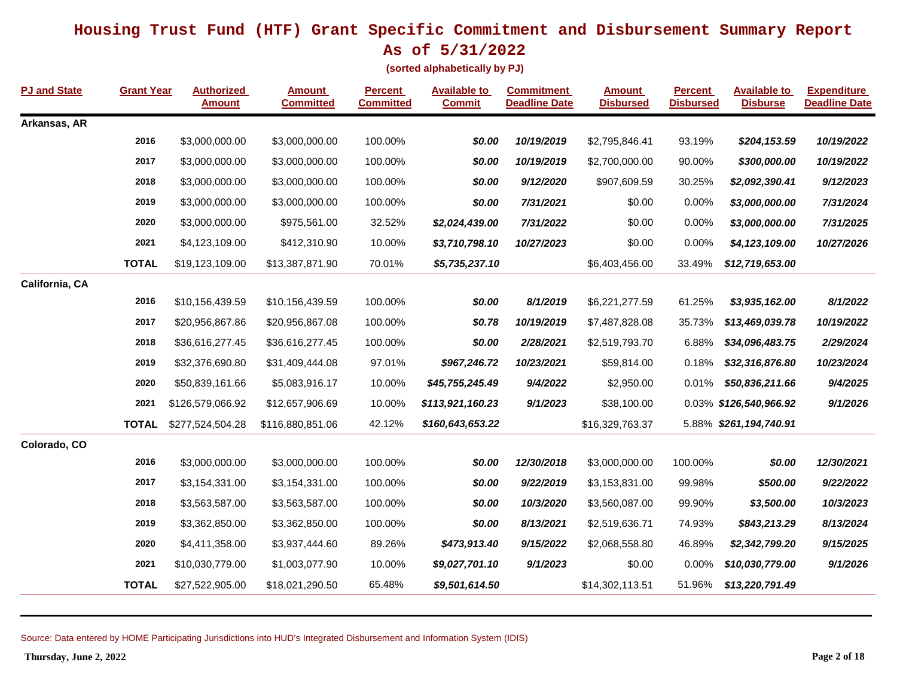**As of 5/31/2022**

**(sorted alphabetically by PJ)**

| <b>PJ and State</b> | <b>Grant Year</b> | <b>Authorized</b><br><b>Amount</b> | <b>Amount</b><br><b>Committed</b> | <b>Percent</b><br><b>Committed</b> | <b>Available to</b><br><b>Commit</b> | <b>Commitment</b><br><b>Deadline Date</b> | <u>Amount</u><br><b>Disbursed</b> | <b>Percent</b><br><b>Disbursed</b> | <b>Available to</b><br><b>Disburse</b> | <b>Expenditure</b><br><b>Deadline Date</b> |
|---------------------|-------------------|------------------------------------|-----------------------------------|------------------------------------|--------------------------------------|-------------------------------------------|-----------------------------------|------------------------------------|----------------------------------------|--------------------------------------------|
| Arkansas, AR        |                   |                                    |                                   |                                    |                                      |                                           |                                   |                                    |                                        |                                            |
|                     | 2016              | \$3,000,000.00                     | \$3,000,000.00                    | 100.00%                            | \$0.00                               | 10/19/2019                                | \$2,795,846.41                    | 93.19%                             | \$204,153.59                           | 10/19/2022                                 |
|                     | 2017              | \$3,000,000.00                     | \$3,000,000.00                    | 100.00%                            | \$0.00                               | 10/19/2019                                | \$2,700,000.00                    | 90.00%                             | \$300,000.00                           | 10/19/2022                                 |
|                     | 2018              | \$3,000,000.00                     | \$3,000,000.00                    | 100.00%                            | \$0.00                               | 9/12/2020                                 | \$907,609.59                      | 30.25%                             | \$2,092,390.41                         | 9/12/2023                                  |
|                     | 2019              | \$3,000,000.00                     | \$3,000,000.00                    | 100.00%                            | \$0.00                               | 7/31/2021                                 | \$0.00                            | 0.00%                              | \$3,000,000.00                         | 7/31/2024                                  |
|                     | 2020              | \$3,000,000.00                     | \$975,561.00                      | 32.52%                             | \$2,024,439.00                       | 7/31/2022                                 | \$0.00                            | 0.00%                              | \$3,000,000.00                         | 7/31/2025                                  |
|                     | 2021              | \$4,123,109.00                     | \$412,310.90                      | 10.00%                             | \$3,710,798.10                       | 10/27/2023                                | \$0.00                            | 0.00%                              | \$4,123,109.00                         | 10/27/2026                                 |
|                     | <b>TOTAL</b>      | \$19,123,109.00                    | \$13,387,871.90                   | 70.01%                             | \$5,735,237.10                       |                                           | \$6,403,456.00                    | 33.49%                             | \$12,719,653.00                        |                                            |
| California, CA      |                   |                                    |                                   |                                    |                                      |                                           |                                   |                                    |                                        |                                            |
|                     | 2016              | \$10,156,439.59                    | \$10,156,439.59                   | 100.00%                            | \$0.00                               | 8/1/2019                                  | \$6,221,277.59                    | 61.25%                             | \$3,935,162.00                         | 8/1/2022                                   |
|                     | 2017              | \$20,956,867.86                    | \$20,956,867.08                   | 100.00%                            | \$0.78                               | 10/19/2019                                | \$7,487,828.08                    | 35.73%                             | \$13,469,039.78                        | 10/19/2022                                 |
|                     | 2018              | \$36,616,277.45                    | \$36,616,277.45                   | 100.00%                            | \$0.00                               | 2/28/2021                                 | \$2,519,793.70                    | 6.88%                              | \$34,096,483.75                        | 2/29/2024                                  |
|                     | 2019              | \$32,376,690.80                    | \$31,409,444.08                   | 97.01%                             | \$967,246.72                         | 10/23/2021                                | \$59,814.00                       | 0.18%                              | \$32,316,876.80                        | 10/23/2024                                 |
|                     | 2020              | \$50,839,161.66                    | \$5,083,916.17                    | 10.00%                             | \$45,755,245.49                      | 9/4/2022                                  | \$2,950.00                        | 0.01%                              | \$50,836,211.66                        | 9/4/2025                                   |
|                     | 2021              | \$126,579,066.92                   | \$12,657,906.69                   | 10.00%                             | \$113,921,160.23                     | 9/1/2023                                  | \$38,100.00                       |                                    | 0.03% \$126,540,966.92                 | 9/1/2026                                   |
|                     | <b>TOTAL</b>      | \$277,524,504.28                   | \$116,880,851.06                  | 42.12%                             | \$160,643,653.22                     |                                           | \$16,329,763.37                   |                                    | 5.88% \$261,194,740.91                 |                                            |
| Colorado, CO        |                   |                                    |                                   |                                    |                                      |                                           |                                   |                                    |                                        |                                            |
|                     | 2016              | \$3,000,000.00                     | \$3,000,000.00                    | 100.00%                            | \$0.00                               | 12/30/2018                                | \$3,000,000.00                    | 100.00%                            | \$0.00                                 | 12/30/2021                                 |
|                     | 2017              | \$3,154,331.00                     | \$3,154,331.00                    | 100.00%                            | \$0.00                               | 9/22/2019                                 | \$3,153,831.00                    | 99.98%                             | \$500.00                               | 9/22/2022                                  |
|                     | 2018              | \$3,563,587.00                     | \$3,563,587.00                    | 100.00%                            | \$0.00                               | 10/3/2020                                 | \$3,560,087.00                    | 99.90%                             | \$3,500.00                             | 10/3/2023                                  |
|                     | 2019              | \$3,362,850.00                     | \$3,362,850.00                    | 100.00%                            | \$0.00                               | 8/13/2021                                 | \$2,519,636.71                    | 74.93%                             | \$843,213.29                           | 8/13/2024                                  |
|                     | 2020              | \$4,411,358.00                     | \$3,937,444.60                    | 89.26%                             | \$473,913.40                         | 9/15/2022                                 | \$2,068,558.80                    | 46.89%                             | \$2,342,799.20                         | 9/15/2025                                  |
|                     | 2021              | \$10,030,779.00                    | \$1,003,077.90                    | 10.00%                             | \$9,027,701.10                       | 9/1/2023                                  | \$0.00                            | 0.00%                              | \$10,030,779.00                        | 9/1/2026                                   |
|                     | <b>TOTAL</b>      | \$27,522,905.00                    | \$18,021,290.50                   | 65.48%                             | \$9,501,614.50                       |                                           | \$14,302,113.51                   | 51.96%                             | \$13,220,791.49                        |                                            |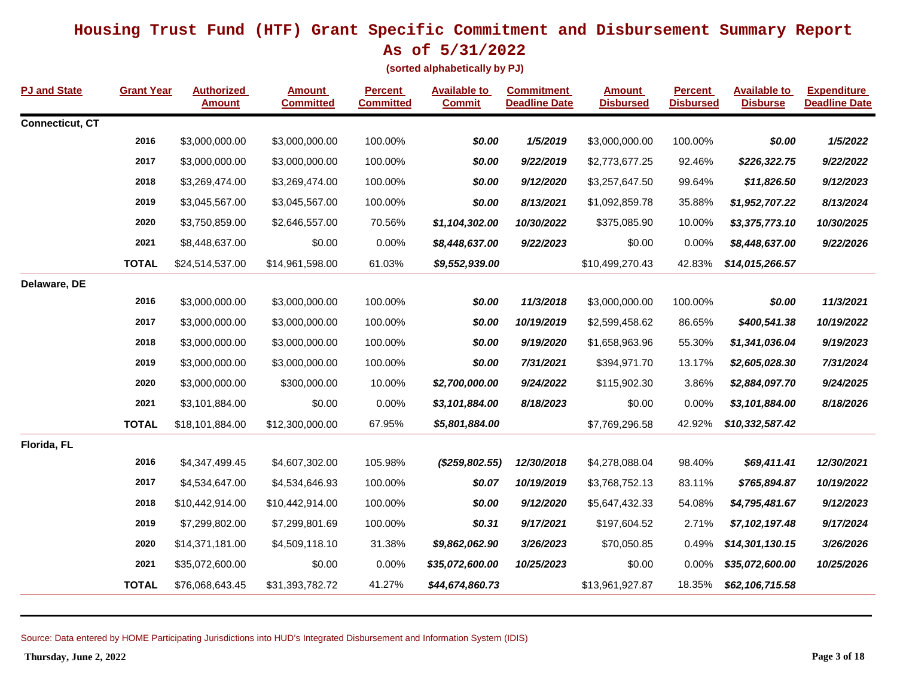**(sorted alphabetically by PJ)**

| <b>PJ and State</b> | <b>Grant Year</b> | <b>Authorized</b><br><b>Amount</b> | <b>Amount</b><br><b>Committed</b> | <b>Percent</b><br><b>Committed</b> | <b>Available to</b><br><b>Commit</b> | <b>Commitment</b><br><b>Deadline Date</b> | <b>Amount</b><br><b>Disbursed</b> | <b>Percent</b><br><b>Disbursed</b> | <b>Available to</b><br><b>Disburse</b> | <b>Expenditure</b><br><b>Deadline Date</b> |
|---------------------|-------------------|------------------------------------|-----------------------------------|------------------------------------|--------------------------------------|-------------------------------------------|-----------------------------------|------------------------------------|----------------------------------------|--------------------------------------------|
| Connecticut, CT     |                   |                                    |                                   |                                    |                                      |                                           |                                   |                                    |                                        |                                            |
|                     | 2016              | \$3,000,000.00                     | \$3,000,000.00                    | 100.00%                            | \$0.00                               | 1/5/2019                                  | \$3,000,000.00                    | 100.00%                            | \$0.00                                 | 1/5/2022                                   |
|                     | 2017              | \$3,000,000.00                     | \$3,000,000.00                    | 100.00%                            | \$0.00                               | 9/22/2019                                 | \$2,773,677.25                    | 92.46%                             | \$226,322.75                           | 9/22/2022                                  |
|                     | 2018              | \$3,269,474.00                     | \$3,269,474.00                    | 100.00%                            | \$0.00                               | 9/12/2020                                 | \$3,257,647.50                    | 99.64%                             | \$11,826.50                            | 9/12/2023                                  |
|                     | 2019              | \$3,045,567.00                     | \$3,045,567.00                    | 100.00%                            | \$0.00                               | 8/13/2021                                 | \$1,092,859.78                    | 35.88%                             | \$1,952,707.22                         | 8/13/2024                                  |
|                     | 2020              | \$3,750,859.00                     | \$2,646,557.00                    | 70.56%                             | \$1,104,302.00                       | 10/30/2022                                | \$375,085.90                      | 10.00%                             | \$3,375,773.10                         | 10/30/2025                                 |
|                     | 2021              | \$8,448,637.00                     | \$0.00                            | 0.00%                              | \$8,448,637.00                       | 9/22/2023                                 | \$0.00                            | 0.00%                              | \$8,448,637.00                         | 9/22/2026                                  |
|                     | <b>TOTAL</b>      | \$24,514,537.00                    | \$14,961,598.00                   | 61.03%                             | \$9,552,939.00                       |                                           | \$10,499,270.43                   | 42.83%                             | \$14,015,266.57                        |                                            |
| Delaware, DE        |                   |                                    |                                   |                                    |                                      |                                           |                                   |                                    |                                        |                                            |
|                     | 2016              | \$3,000,000.00                     | \$3,000,000.00                    | 100.00%                            | \$0.00                               | 11/3/2018                                 | \$3,000,000.00                    | 100.00%                            | \$0.00                                 | 11/3/2021                                  |
|                     | 2017              | \$3,000,000.00                     | \$3,000,000.00                    | 100.00%                            | \$0.00                               | 10/19/2019                                | \$2,599,458.62                    | 86.65%                             | \$400,541.38                           | 10/19/2022                                 |
|                     | 2018              | \$3,000,000.00                     | \$3,000,000.00                    | 100.00%                            | \$0.00                               | 9/19/2020                                 | \$1,658,963.96                    | 55.30%                             | \$1,341,036.04                         | 9/19/2023                                  |
|                     | 2019              | \$3,000,000.00                     | \$3,000,000.00                    | 100.00%                            | \$0.00                               | 7/31/2021                                 | \$394,971.70                      | 13.17%                             | \$2,605,028.30                         | 7/31/2024                                  |
|                     | 2020              | \$3,000,000.00                     | \$300,000.00                      | 10.00%                             | \$2,700,000.00                       | 9/24/2022                                 | \$115,902.30                      | 3.86%                              | \$2,884,097.70                         | 9/24/2025                                  |
|                     | 2021              | \$3,101,884.00                     | \$0.00                            | 0.00%                              | \$3,101,884.00                       | 8/18/2023                                 | \$0.00                            | 0.00%                              | \$3,101,884.00                         | 8/18/2026                                  |
|                     | <b>TOTAL</b>      | \$18,101,884.00                    | \$12,300,000.00                   | 67.95%                             | \$5,801,884.00                       |                                           | \$7,769,296.58                    | 42.92%                             | \$10,332,587.42                        |                                            |
| Florida, FL         |                   |                                    |                                   |                                    |                                      |                                           |                                   |                                    |                                        |                                            |
|                     | 2016              | \$4,347,499.45                     | \$4,607,302.00                    | 105.98%                            | (\$259,802.55)                       | 12/30/2018                                | \$4,278,088.04                    | 98.40%                             | \$69,411.41                            | 12/30/2021                                 |
|                     | 2017              | \$4,534,647.00                     | \$4,534,646.93                    | 100.00%                            | \$0.07                               | 10/19/2019                                | \$3,768,752.13                    | 83.11%                             | \$765,894.87                           | 10/19/2022                                 |
|                     | 2018              | \$10,442,914.00                    | \$10,442,914.00                   | 100.00%                            | \$0.00                               | 9/12/2020                                 | \$5,647,432.33                    | 54.08%                             | \$4,795,481.67                         | 9/12/2023                                  |
|                     | 2019              | \$7,299,802.00                     | \$7,299,801.69                    | 100.00%                            | \$0.31                               | 9/17/2021                                 | \$197,604.52                      | 2.71%                              | \$7,102,197.48                         | 9/17/2024                                  |
|                     | 2020              | \$14,371,181.00                    | \$4,509,118.10                    | 31.38%                             | \$9,862,062.90                       | 3/26/2023                                 | \$70,050.85                       | 0.49%                              | \$14,301,130.15                        | 3/26/2026                                  |
|                     | 2021              | \$35,072,600.00                    | \$0.00                            | 0.00%                              | \$35,072,600.00                      | 10/25/2023                                | \$0.00                            | 0.00%                              | \$35,072,600.00                        | 10/25/2026                                 |
|                     | <b>TOTAL</b>      | \$76,068,643.45                    | \$31,393,782.72                   | 41.27%                             | \$44,674,860.73                      |                                           | \$13,961,927.87                   | 18.35%                             | \$62,106,715.58                        |                                            |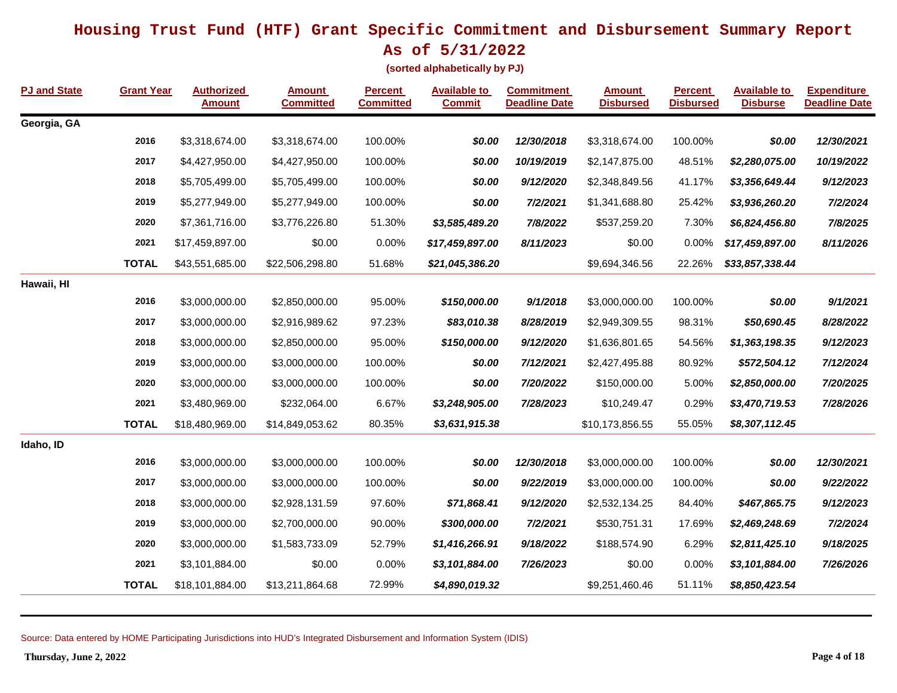**As of 5/31/2022**

**(sorted alphabetically by PJ)**

| <b>PJ and State</b> | <b>Grant Year</b> | <b>Authorized</b><br><b>Amount</b> | Amount<br><b>Committed</b> | <b>Percent</b><br><b>Committed</b> | <b>Available to</b><br><b>Commit</b> | <b>Commitment</b><br><b>Deadline Date</b> | <b>Amount</b><br><b>Disbursed</b> | <b>Percent</b><br><b>Disbursed</b> | <b>Available to</b><br><b>Disburse</b> | <b>Expenditure</b><br><b>Deadline Date</b> |
|---------------------|-------------------|------------------------------------|----------------------------|------------------------------------|--------------------------------------|-------------------------------------------|-----------------------------------|------------------------------------|----------------------------------------|--------------------------------------------|
| Georgia, GA         |                   |                                    |                            |                                    |                                      |                                           |                                   |                                    |                                        |                                            |
|                     | 2016              | \$3,318,674.00                     | \$3,318,674.00             | 100.00%                            | \$0.00                               | 12/30/2018                                | \$3,318,674.00                    | 100.00%                            | \$0.00                                 | 12/30/2021                                 |
|                     | 2017              | \$4,427,950.00                     | \$4,427,950.00             | 100.00%                            | \$0.00                               | 10/19/2019                                | \$2,147,875.00                    | 48.51%                             | \$2,280,075.00                         | 10/19/2022                                 |
|                     | 2018              | \$5,705,499.00                     | \$5,705,499.00             | 100.00%                            | \$0.00                               | 9/12/2020                                 | \$2,348,849.56                    | 41.17%                             | \$3,356,649.44                         | 9/12/2023                                  |
|                     | 2019              | \$5,277,949.00                     | \$5,277,949.00             | 100.00%                            | \$0.00                               | 7/2/2021                                  | \$1,341,688.80                    | 25.42%                             | \$3,936,260.20                         | 7/2/2024                                   |
|                     | 2020              | \$7,361,716.00                     | \$3,776,226.80             | 51.30%                             | \$3,585,489.20                       | 7/8/2022                                  | \$537,259.20                      | 7.30%                              | \$6,824,456.80                         | 7/8/2025                                   |
|                     | 2021              | \$17,459,897.00                    | \$0.00                     | 0.00%                              | \$17,459,897.00                      | 8/11/2023                                 | \$0.00                            | 0.00%                              | \$17,459,897.00                        | 8/11/2026                                  |
|                     | <b>TOTAL</b>      | \$43,551,685.00                    | \$22,506,298.80            | 51.68%                             | \$21,045,386.20                      |                                           | \$9,694,346.56                    | 22.26%                             | \$33,857,338.44                        |                                            |
| Hawaii, HI          |                   |                                    |                            |                                    |                                      |                                           |                                   |                                    |                                        |                                            |
|                     | 2016              | \$3,000,000.00                     | \$2,850,000.00             | 95.00%                             | \$150,000.00                         | 9/1/2018                                  | \$3,000,000.00                    | 100.00%                            | \$0.00                                 | 9/1/2021                                   |
|                     | 2017              | \$3,000,000.00                     | \$2,916,989.62             | 97.23%                             | \$83,010.38                          | 8/28/2019                                 | \$2,949,309.55                    | 98.31%                             | \$50,690.45                            | 8/28/2022                                  |
|                     | 2018              | \$3,000,000.00                     | \$2,850,000.00             | 95.00%                             | \$150,000.00                         | 9/12/2020                                 | \$1,636,801.65                    | 54.56%                             | \$1,363,198.35                         | 9/12/2023                                  |
|                     | 2019              | \$3,000,000.00                     | \$3,000,000.00             | 100.00%                            | \$0.00                               | 7/12/2021                                 | \$2,427,495.88                    | 80.92%                             | \$572,504.12                           | 7/12/2024                                  |
|                     | 2020              | \$3,000,000.00                     | \$3,000,000.00             | 100.00%                            | \$0.00                               | 7/20/2022                                 | \$150,000.00                      | 5.00%                              | \$2,850,000.00                         | 7/20/2025                                  |
|                     | 2021              | \$3,480,969.00                     | \$232,064.00               | 6.67%                              | \$3,248,905.00                       | 7/28/2023                                 | \$10,249.47                       | 0.29%                              | \$3,470,719.53                         | 7/28/2026                                  |
|                     | <b>TOTAL</b>      | \$18,480,969.00                    | \$14,849,053.62            | 80.35%                             | \$3,631,915.38                       |                                           | \$10,173,856.55                   | 55.05%                             | \$8,307,112.45                         |                                            |
| Idaho, ID           |                   |                                    |                            |                                    |                                      |                                           |                                   |                                    |                                        |                                            |
|                     | 2016              | \$3,000,000.00                     | \$3,000,000.00             | 100.00%                            | \$0.00                               | 12/30/2018                                | \$3,000,000.00                    | 100.00%                            | \$0.00                                 | 12/30/2021                                 |
|                     | 2017              | \$3,000,000.00                     | \$3,000,000.00             | 100.00%                            | \$0.00                               | 9/22/2019                                 | \$3,000,000.00                    | 100.00%                            | \$0.00                                 | 9/22/2022                                  |
|                     | 2018              | \$3,000,000.00                     | \$2,928,131.59             | 97.60%                             | \$71,868.41                          | 9/12/2020                                 | \$2,532,134.25                    | 84.40%                             | \$467,865.75                           | 9/12/2023                                  |
|                     | 2019              | \$3,000,000.00                     | \$2,700,000.00             | 90.00%                             | \$300,000.00                         | 7/2/2021                                  | \$530,751.31                      | 17.69%                             | \$2,469,248.69                         | 7/2/2024                                   |
|                     | 2020              | \$3,000,000.00                     | \$1,583,733.09             | 52.79%                             | \$1,416,266.91                       | 9/18/2022                                 | \$188,574.90                      | 6.29%                              | \$2,811,425.10                         | 9/18/2025                                  |
|                     | 2021              | \$3,101,884.00                     | \$0.00                     | 0.00%                              | \$3,101,884.00                       | 7/26/2023                                 | \$0.00                            | 0.00%                              | \$3,101,884.00                         | 7/26/2026                                  |
|                     | <b>TOTAL</b>      | \$18,101,884.00                    | \$13,211,864.68            | 72.99%                             | \$4,890,019.32                       |                                           | \$9,251,460.46                    | 51.11%                             | \$8,850,423.54                         |                                            |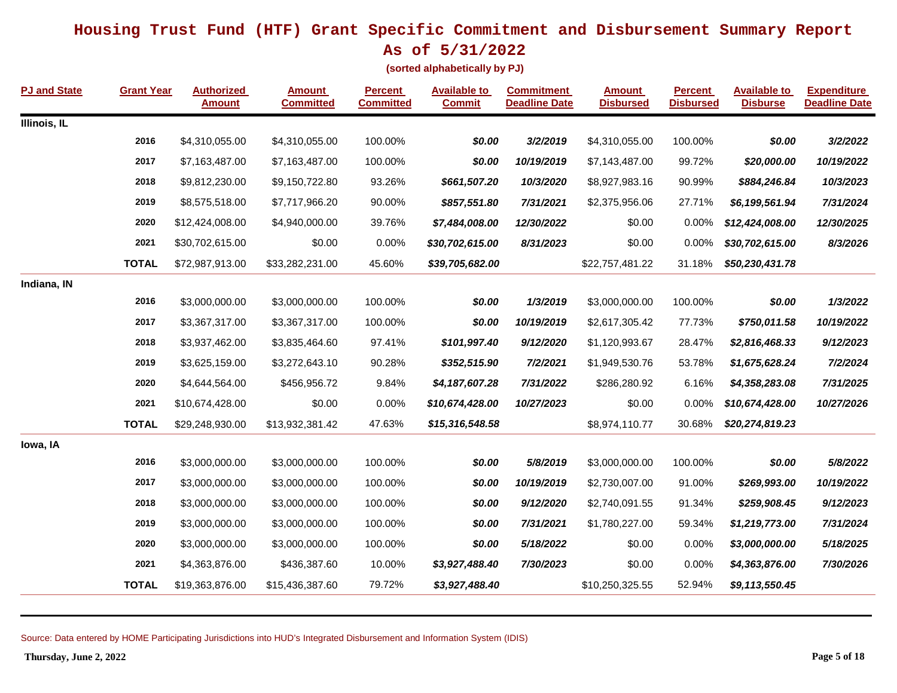**As of 5/31/2022**

**(sorted alphabetically by PJ)**

| <b>PJ and State</b> | <b>Grant Year</b> | <b>Authorized</b><br><b>Amount</b> | <b>Amount</b><br><b>Committed</b> | <b>Percent</b><br><b>Committed</b> | <b>Available to</b><br><b>Commit</b> | <b>Commitment</b><br><b>Deadline Date</b> | <b>Amount</b><br><b>Disbursed</b> | <b>Percent</b><br><b>Disbursed</b> | <b>Available to</b><br><b>Disburse</b> | <b>Expenditure</b><br><b>Deadline Date</b> |
|---------------------|-------------------|------------------------------------|-----------------------------------|------------------------------------|--------------------------------------|-------------------------------------------|-----------------------------------|------------------------------------|----------------------------------------|--------------------------------------------|
| Illinois, IL        |                   |                                    |                                   |                                    |                                      |                                           |                                   |                                    |                                        |                                            |
|                     | 2016              | \$4,310,055.00                     | \$4,310,055.00                    | 100.00%                            | \$0.00                               | 3/2/2019                                  | \$4,310,055.00                    | 100.00%                            | \$0.00                                 | 3/2/2022                                   |
|                     | 2017              | \$7,163,487.00                     | \$7,163,487.00                    | 100.00%                            | \$0.00                               | 10/19/2019                                | \$7,143,487.00                    | 99.72%                             | \$20,000.00                            | 10/19/2022                                 |
|                     | 2018              | \$9,812,230.00                     | \$9,150,722.80                    | 93.26%                             | \$661,507.20                         | 10/3/2020                                 | \$8,927,983.16                    | 90.99%                             | \$884,246.84                           | 10/3/2023                                  |
|                     | 2019              | \$8,575,518.00                     | \$7,717,966.20                    | 90.00%                             | \$857,551.80                         | 7/31/2021                                 | \$2,375,956.06                    | 27.71%                             | \$6,199,561.94                         | 7/31/2024                                  |
|                     | 2020              | \$12,424,008.00                    | \$4,940,000.00                    | 39.76%                             | \$7,484,008.00                       | 12/30/2022                                | \$0.00                            | 0.00%                              | \$12,424,008.00                        | 12/30/2025                                 |
|                     | 2021              | \$30,702,615.00                    | \$0.00                            | 0.00%                              | \$30,702,615.00                      | 8/31/2023                                 | \$0.00                            | 0.00%                              | \$30,702,615.00                        | 8/3/2026                                   |
|                     | <b>TOTAL</b>      | \$72,987,913.00                    | \$33,282,231.00                   | 45.60%                             | \$39,705,682.00                      |                                           | \$22,757,481.22                   | 31.18%                             | \$50,230,431.78                        |                                            |
| Indiana, IN         |                   |                                    |                                   |                                    |                                      |                                           |                                   |                                    |                                        |                                            |
|                     | 2016              | \$3,000,000.00                     | \$3,000,000.00                    | 100.00%                            | \$0.00                               | 1/3/2019                                  | \$3,000,000.00                    | 100.00%                            | \$0.00                                 | 1/3/2022                                   |
|                     | 2017              | \$3,367,317.00                     | \$3,367,317.00                    | 100.00%                            | \$0.00                               | 10/19/2019                                | \$2,617,305.42                    | 77.73%                             | \$750,011.58                           | 10/19/2022                                 |
|                     | 2018              | \$3,937,462.00                     | \$3,835,464.60                    | 97.41%                             | \$101,997.40                         | 9/12/2020                                 | \$1,120,993.67                    | 28.47%                             | \$2,816,468.33                         | 9/12/2023                                  |
|                     | 2019              | \$3,625,159.00                     | \$3,272,643.10                    | 90.28%                             | \$352,515.90                         | 7/2/2021                                  | \$1,949,530.76                    | 53.78%                             | \$1,675,628.24                         | 7/2/2024                                   |
|                     | 2020              | \$4,644,564.00                     | \$456,956.72                      | 9.84%                              | \$4,187,607.28                       | 7/31/2022                                 | \$286,280.92                      | 6.16%                              | \$4,358,283.08                         | 7/31/2025                                  |
|                     | 2021              | \$10,674,428.00                    | \$0.00                            | 0.00%                              | \$10,674,428.00                      | 10/27/2023                                | \$0.00                            | 0.00%                              | \$10,674,428.00                        | 10/27/2026                                 |
|                     | <b>TOTAL</b>      | \$29,248,930.00                    | \$13,932,381.42                   | 47.63%                             | \$15,316,548.58                      |                                           | \$8,974,110.77                    | 30.68%                             | \$20,274,819.23                        |                                            |
| lowa, IA            |                   |                                    |                                   |                                    |                                      |                                           |                                   |                                    |                                        |                                            |
|                     | 2016              | \$3,000,000.00                     | \$3,000,000.00                    | 100.00%                            | \$0.00                               | 5/8/2019                                  | \$3,000,000.00                    | 100.00%                            | \$0.00                                 | 5/8/2022                                   |
|                     | 2017              | \$3,000,000.00                     | \$3,000,000.00                    | 100.00%                            | \$0.00                               | 10/19/2019                                | \$2,730,007.00                    | 91.00%                             | \$269,993.00                           | 10/19/2022                                 |
|                     | 2018              | \$3,000,000.00                     | \$3,000,000.00                    | 100.00%                            | \$0.00                               | 9/12/2020                                 | \$2,740,091.55                    | 91.34%                             | \$259,908.45                           | 9/12/2023                                  |
|                     | 2019              | \$3,000,000.00                     | \$3,000,000.00                    | 100.00%                            | \$0.00                               | 7/31/2021                                 | \$1,780,227.00                    | 59.34%                             | \$1,219,773.00                         | 7/31/2024                                  |
|                     | 2020              | \$3,000,000.00                     | \$3,000,000.00                    | 100.00%                            | \$0.00                               | 5/18/2022                                 | \$0.00                            | 0.00%                              | \$3,000,000.00                         | 5/18/2025                                  |
|                     | 2021              | \$4,363,876.00                     | \$436,387.60                      | 10.00%                             | \$3,927,488.40                       | 7/30/2023                                 | \$0.00                            | 0.00%                              | \$4,363,876.00                         | 7/30/2026                                  |
|                     | <b>TOTAL</b>      | \$19,363,876.00                    | \$15,436,387.60                   | 79.72%                             | \$3,927,488.40                       |                                           | \$10,250,325.55                   | 52.94%                             | \$9,113,550.45                         |                                            |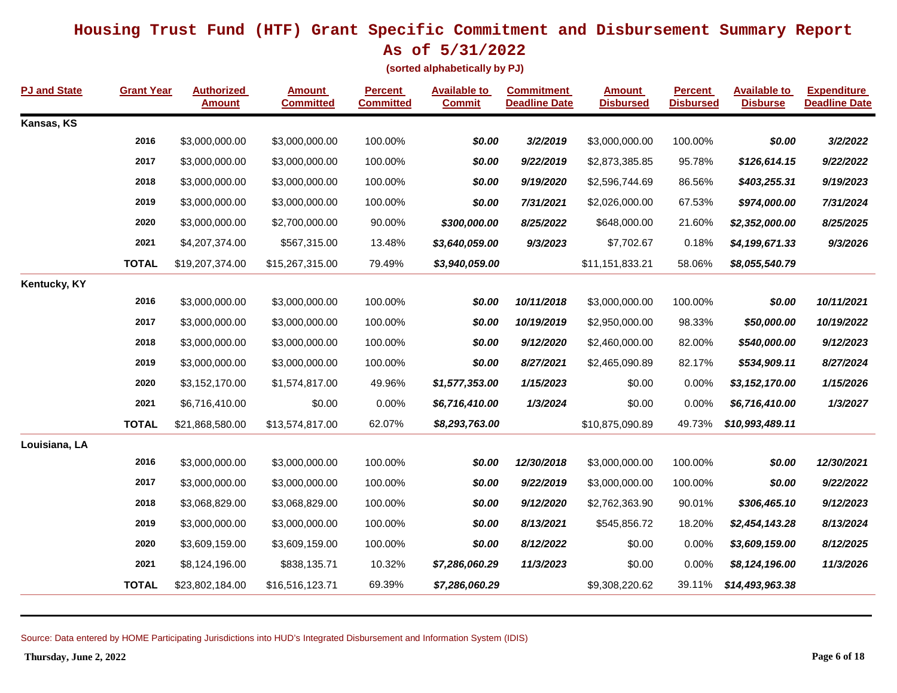**(sorted alphabetically by PJ)**

| <b>PJ and State</b> | <b>Grant Year</b> | <b>Authorized</b><br><b>Amount</b> | <b>Amount</b><br><b>Committed</b> | <b>Percent</b><br><b>Committed</b> | <b>Available to</b><br><b>Commit</b> | <b>Commitment</b><br><b>Deadline Date</b> | <b>Amount</b><br><b>Disbursed</b> | <b>Percent</b><br><b>Disbursed</b> | <b>Available to</b><br><b>Disburse</b> | <b>Expenditure</b><br><b>Deadline Date</b> |
|---------------------|-------------------|------------------------------------|-----------------------------------|------------------------------------|--------------------------------------|-------------------------------------------|-----------------------------------|------------------------------------|----------------------------------------|--------------------------------------------|
| Kansas, KS          |                   |                                    |                                   |                                    |                                      |                                           |                                   |                                    |                                        |                                            |
|                     | 2016              | \$3,000,000.00                     | \$3,000,000.00                    | 100.00%                            | \$0.00                               | 3/2/2019                                  | \$3,000,000.00                    | 100.00%                            | \$0.00                                 | 3/2/2022                                   |
|                     | 2017              | \$3,000,000.00                     | \$3,000,000.00                    | 100.00%                            | \$0.00                               | 9/22/2019                                 | \$2,873,385.85                    | 95.78%                             | \$126,614.15                           | 9/22/2022                                  |
|                     | 2018              | \$3,000,000.00                     | \$3,000,000.00                    | 100.00%                            | \$0.00                               | 9/19/2020                                 | \$2,596,744.69                    | 86.56%                             | \$403,255.31                           | 9/19/2023                                  |
|                     | 2019              | \$3,000,000.00                     | \$3,000,000.00                    | 100.00%                            | \$0.00                               | 7/31/2021                                 | \$2,026,000.00                    | 67.53%                             | \$974,000.00                           | 7/31/2024                                  |
|                     | 2020              | \$3,000,000.00                     | \$2,700,000.00                    | 90.00%                             | \$300,000.00                         | 8/25/2022                                 | \$648,000.00                      | 21.60%                             | \$2,352,000.00                         | 8/25/2025                                  |
|                     | 2021              | \$4,207,374.00                     | \$567,315.00                      | 13.48%                             | \$3,640,059.00                       | 9/3/2023                                  | \$7,702.67                        | 0.18%                              | \$4,199,671.33                         | 9/3/2026                                   |
|                     | <b>TOTAL</b>      | \$19,207,374.00                    | \$15,267,315.00                   | 79.49%                             | \$3,940,059.00                       |                                           | \$11,151,833.21                   | 58.06%                             | \$8,055,540.79                         |                                            |
| Kentucky, KY        |                   |                                    |                                   |                                    |                                      |                                           |                                   |                                    |                                        |                                            |
|                     | 2016              | \$3,000,000.00                     | \$3,000,000.00                    | 100.00%                            | \$0.00                               | 10/11/2018                                | \$3,000,000.00                    | 100.00%                            | \$0.00                                 | 10/11/2021                                 |
|                     | 2017              | \$3,000,000.00                     | \$3,000,000.00                    | 100.00%                            | \$0.00                               | 10/19/2019                                | \$2,950,000.00                    | 98.33%                             | \$50,000.00                            | 10/19/2022                                 |
|                     | 2018              | \$3,000,000.00                     | \$3,000,000.00                    | 100.00%                            | \$0.00                               | 9/12/2020                                 | \$2,460,000.00                    | 82.00%                             | \$540,000.00                           | 9/12/2023                                  |
|                     | 2019              | \$3,000,000.00                     | \$3,000,000.00                    | 100.00%                            | \$0.00                               | 8/27/2021                                 | \$2,465,090.89                    | 82.17%                             | \$534,909.11                           | 8/27/2024                                  |
|                     | 2020              | \$3,152,170.00                     | \$1,574,817.00                    | 49.96%                             | \$1,577,353.00                       | 1/15/2023                                 | \$0.00                            | 0.00%                              | \$3,152,170.00                         | 1/15/2026                                  |
|                     | 2021              | \$6,716,410.00                     | \$0.00                            | 0.00%                              | \$6,716,410.00                       | 1/3/2024                                  | \$0.00                            | 0.00%                              | \$6,716,410.00                         | 1/3/2027                                   |
|                     | <b>TOTAL</b>      | \$21,868,580.00                    | \$13,574,817.00                   | 62.07%                             | \$8,293,763.00                       |                                           | \$10,875,090.89                   | 49.73%                             | \$10,993,489.11                        |                                            |
| Louisiana, LA       |                   |                                    |                                   |                                    |                                      |                                           |                                   |                                    |                                        |                                            |
|                     | 2016              | \$3,000,000.00                     | \$3,000,000.00                    | 100.00%                            | \$0.00                               | 12/30/2018                                | \$3,000,000.00                    | 100.00%                            | \$0.00                                 | 12/30/2021                                 |
|                     | 2017              | \$3,000,000.00                     | \$3,000,000.00                    | 100.00%                            | \$0.00                               | 9/22/2019                                 | \$3,000,000.00                    | 100.00%                            | \$0.00                                 | 9/22/2022                                  |
|                     | 2018              | \$3,068,829.00                     | \$3,068,829.00                    | 100.00%                            | \$0.00                               | 9/12/2020                                 | \$2,762,363.90                    | 90.01%                             | \$306,465.10                           | 9/12/2023                                  |
|                     | 2019              | \$3,000,000.00                     | \$3,000,000.00                    | 100.00%                            | \$0.00                               | 8/13/2021                                 | \$545,856.72                      | 18.20%                             | \$2,454,143.28                         | 8/13/2024                                  |
|                     | 2020              | \$3,609,159.00                     | \$3,609,159.00                    | 100.00%                            | \$0.00                               | 8/12/2022                                 | \$0.00                            | 0.00%                              | \$3,609,159.00                         | 8/12/2025                                  |
|                     | 2021              | \$8,124,196.00                     | \$838,135.71                      | 10.32%                             | \$7,286,060.29                       | 11/3/2023                                 | \$0.00                            | 0.00%                              | \$8,124,196.00                         | 11/3/2026                                  |
|                     | <b>TOTAL</b>      | \$23,802,184.00                    | \$16,516,123.71                   | 69.39%                             | \$7,286,060.29                       |                                           | \$9,308,220.62                    | 39.11%                             | \$14,493,963.38                        |                                            |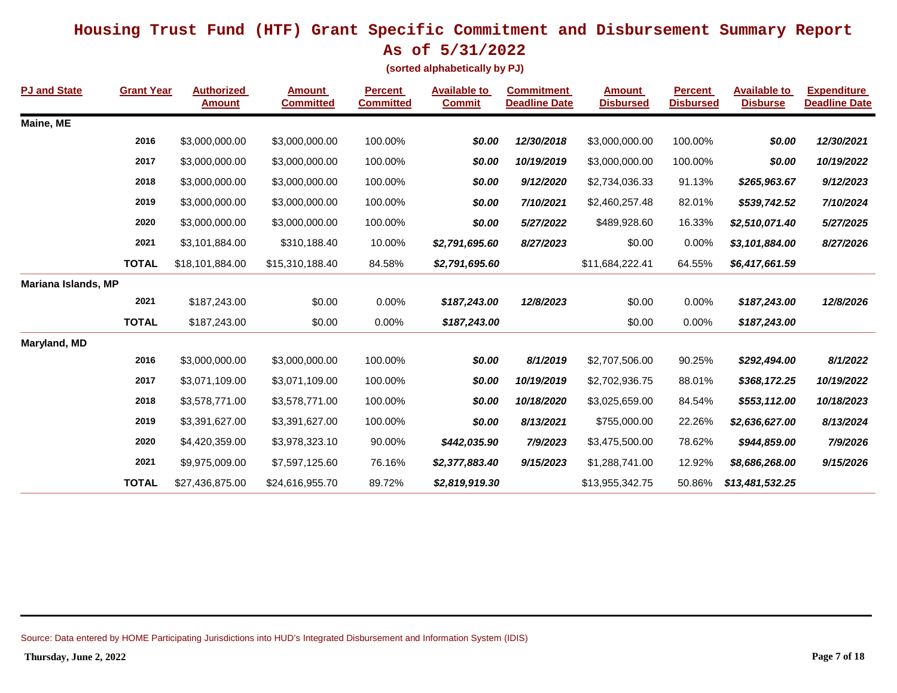**As of 5/31/2022**

**(sorted alphabetically by PJ)**

| <b>PJ and State</b> | <b>Grant Year</b> | <b>Authorized</b><br><b>Amount</b> | <b>Amount</b><br><b>Committed</b> | <b>Percent</b><br><b>Committed</b> | <b>Available to</b><br><b>Commit</b> | <b>Commitment</b><br><b>Deadline Date</b> | <b>Amount</b><br><b>Disbursed</b> | <b>Percent</b><br><b>Disbursed</b> | <b>Available to</b><br><b>Disburse</b> | <b>Expenditure</b><br><b>Deadline Date</b> |
|---------------------|-------------------|------------------------------------|-----------------------------------|------------------------------------|--------------------------------------|-------------------------------------------|-----------------------------------|------------------------------------|----------------------------------------|--------------------------------------------|
| Maine, ME           |                   |                                    |                                   |                                    |                                      |                                           |                                   |                                    |                                        |                                            |
|                     | 2016              | \$3,000,000.00                     | \$3,000,000.00                    | 100.00%                            | \$0.00                               | 12/30/2018                                | \$3,000,000.00                    | 100.00%                            | \$0.00                                 | 12/30/2021                                 |
|                     | 2017              | \$3,000,000.00                     | \$3,000,000.00                    | 100.00%                            | \$0.00                               | 10/19/2019                                | \$3,000,000.00                    | 100.00%                            | \$0.00                                 | 10/19/2022                                 |
|                     | 2018              | \$3,000,000.00                     | \$3,000,000.00                    | 100.00%                            | \$0.00                               | 9/12/2020                                 | \$2,734,036.33                    | 91.13%                             | \$265,963.67                           | 9/12/2023                                  |
|                     | 2019              | \$3,000,000.00                     | \$3,000,000.00                    | 100.00%                            | \$0.00                               | 7/10/2021                                 | \$2,460,257.48                    | 82.01%                             | \$539,742.52                           | 7/10/2024                                  |
|                     | 2020              | \$3,000,000.00                     | \$3,000,000.00                    | 100.00%                            | \$0.00                               | 5/27/2022                                 | \$489,928.60                      | 16.33%                             | \$2,510,071.40                         | 5/27/2025                                  |
|                     | 2021              | \$3,101,884.00                     | \$310,188.40                      | 10.00%                             | \$2,791,695.60                       | 8/27/2023                                 | \$0.00                            | 0.00%                              | \$3,101,884.00                         | 8/27/2026                                  |
|                     | <b>TOTAL</b>      | \$18,101,884.00                    | \$15,310,188.40                   | 84.58%                             | \$2,791,695.60                       |                                           | \$11,684,222.41                   | 64.55%                             | \$6,417,661.59                         |                                            |
| Mariana Islands, MP |                   |                                    |                                   |                                    |                                      |                                           |                                   |                                    |                                        |                                            |
|                     | 2021              | \$187,243.00                       | \$0.00                            | 0.00%                              | \$187,243.00                         | 12/8/2023                                 | \$0.00                            | 0.00%                              | \$187,243.00                           | 12/8/2026                                  |
|                     | <b>TOTAL</b>      | \$187,243.00                       | \$0.00                            | 0.00%                              | \$187,243.00                         |                                           | \$0.00                            | 0.00%                              | \$187,243.00                           |                                            |
| Maryland, MD        |                   |                                    |                                   |                                    |                                      |                                           |                                   |                                    |                                        |                                            |
|                     | 2016              | \$3,000,000.00                     | \$3,000,000.00                    | 100.00%                            | \$0.00                               | 8/1/2019                                  | \$2,707,506.00                    | 90.25%                             | \$292,494.00                           | 8/1/2022                                   |
|                     | 2017              | \$3,071,109.00                     | \$3,071,109.00                    | 100.00%                            | \$0.00                               | 10/19/2019                                | \$2,702,936.75                    | 88.01%                             | \$368,172.25                           | 10/19/2022                                 |
|                     | 2018              | \$3,578,771.00                     | \$3,578,771.00                    | 100.00%                            | \$0.00                               | 10/18/2020                                | \$3,025,659.00                    | 84.54%                             | \$553,112.00                           | 10/18/2023                                 |
|                     | 2019              | \$3,391,627.00                     | \$3,391,627.00                    | 100.00%                            | \$0.00                               | 8/13/2021                                 | \$755,000.00                      | 22.26%                             | \$2,636,627.00                         | 8/13/2024                                  |
|                     | 2020              | \$4,420,359.00                     | \$3,978,323.10                    | 90.00%                             | \$442,035.90                         | 7/9/2023                                  | \$3,475,500.00                    | 78.62%                             | \$944,859.00                           | 7/9/2026                                   |
|                     | 2021              | \$9,975,009.00                     | \$7,597,125.60                    | 76.16%                             | \$2,377,883.40                       | 9/15/2023                                 | \$1,288,741.00                    | 12.92%                             | \$8,686,268.00                         | 9/15/2026                                  |
|                     | <b>TOTAL</b>      | \$27,436,875.00                    | \$24,616,955.70                   | 89.72%                             | \$2,819,919.30                       |                                           | \$13,955,342.75                   | 50.86%                             | \$13,481,532.25                        |                                            |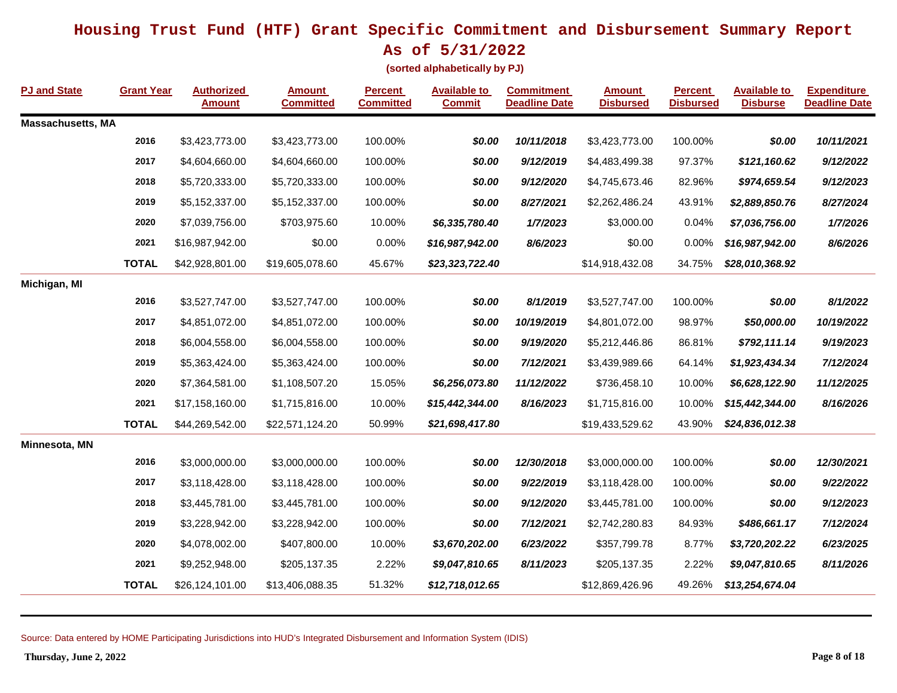**As of 5/31/2022**

**(sorted alphabetically by PJ)**

| <b>PJ and State</b>      | <b>Grant Year</b> | <b>Authorized</b><br><b>Amount</b> | <b>Amount</b><br><b>Committed</b> | <b>Percent</b><br><b>Committed</b> | <b>Available to</b><br><b>Commit</b> | <b>Commitment</b><br><b>Deadline Date</b> | <b>Amount</b><br><b>Disbursed</b> | <b>Percent</b><br><b>Disbursed</b> | <b>Available to</b><br><b>Disburse</b> | <b>Expenditure</b><br><b>Deadline Date</b> |
|--------------------------|-------------------|------------------------------------|-----------------------------------|------------------------------------|--------------------------------------|-------------------------------------------|-----------------------------------|------------------------------------|----------------------------------------|--------------------------------------------|
| <b>Massachusetts, MA</b> |                   |                                    |                                   |                                    |                                      |                                           |                                   |                                    |                                        |                                            |
|                          | 2016              | \$3,423,773.00                     | \$3,423,773.00                    | 100.00%                            | \$0.00                               | 10/11/2018                                | \$3,423,773.00                    | 100.00%                            | \$0.00                                 | 10/11/2021                                 |
|                          | 2017              | \$4,604,660.00                     | \$4,604,660.00                    | 100.00%                            | \$0.00                               | 9/12/2019                                 | \$4,483,499.38                    | 97.37%                             | \$121,160.62                           | 9/12/2022                                  |
|                          | 2018              | \$5,720,333.00                     | \$5,720,333.00                    | 100.00%                            | \$0.00                               | 9/12/2020                                 | \$4,745,673.46                    | 82.96%                             | \$974,659.54                           | 9/12/2023                                  |
|                          | 2019              | \$5,152,337.00                     | \$5,152,337.00                    | 100.00%                            | \$0.00                               | 8/27/2021                                 | \$2,262,486.24                    | 43.91%                             | \$2,889,850.76                         | 8/27/2024                                  |
|                          | 2020              | \$7,039,756.00                     | \$703,975.60                      | 10.00%                             | \$6,335,780.40                       | 1/7/2023                                  | \$3,000.00                        | 0.04%                              | \$7,036,756.00                         | 1/7/2026                                   |
|                          | 2021              | \$16,987,942.00                    | \$0.00                            | 0.00%                              | \$16,987,942.00                      | 8/6/2023                                  | \$0.00                            | 0.00%                              | \$16,987,942.00                        | 8/6/2026                                   |
|                          | <b>TOTAL</b>      | \$42,928,801.00                    | \$19,605,078.60                   | 45.67%                             | \$23,323,722.40                      |                                           | \$14,918,432.08                   | 34.75%                             | \$28,010,368.92                        |                                            |
| Michigan, MI             |                   |                                    |                                   |                                    |                                      |                                           |                                   |                                    |                                        |                                            |
|                          | 2016              | \$3,527,747.00                     | \$3,527,747.00                    | 100.00%                            | \$0.00                               | 8/1/2019                                  | \$3,527,747.00                    | 100.00%                            | \$0.00                                 | 8/1/2022                                   |
|                          | 2017              | \$4,851,072.00                     | \$4,851,072.00                    | 100.00%                            | \$0.00                               | 10/19/2019                                | \$4,801,072.00                    | 98.97%                             | \$50,000.00                            | 10/19/2022                                 |
|                          | 2018              | \$6,004,558.00                     | \$6,004,558.00                    | 100.00%                            | \$0.00                               | 9/19/2020                                 | \$5,212,446.86                    | 86.81%                             | \$792,111.14                           | 9/19/2023                                  |
|                          | 2019              | \$5,363,424.00                     | \$5,363,424.00                    | 100.00%                            | \$0.00                               | 7/12/2021                                 | \$3,439,989.66                    | 64.14%                             | \$1,923,434.34                         | 7/12/2024                                  |
|                          | 2020              | \$7,364,581.00                     | \$1,108,507.20                    | 15.05%                             | \$6,256,073.80                       | 11/12/2022                                | \$736,458.10                      | 10.00%                             | \$6,628,122.90                         | 11/12/2025                                 |
|                          | 2021              | \$17,158,160.00                    | \$1,715,816.00                    | 10.00%                             | \$15,442,344.00                      | 8/16/2023                                 | \$1,715,816.00                    | 10.00%                             | \$15,442,344.00                        | 8/16/2026                                  |
|                          | <b>TOTAL</b>      | \$44,269,542.00                    | \$22,571,124.20                   | 50.99%                             | \$21,698,417.80                      |                                           | \$19,433,529.62                   | 43.90%                             | \$24,836,012.38                        |                                            |
| Minnesota, MN            |                   |                                    |                                   |                                    |                                      |                                           |                                   |                                    |                                        |                                            |
|                          | 2016              | \$3,000,000.00                     | \$3,000,000.00                    | 100.00%                            | \$0.00                               | 12/30/2018                                | \$3,000,000.00                    | 100.00%                            | \$0.00                                 | 12/30/2021                                 |
|                          | 2017              | \$3,118,428.00                     | \$3,118,428.00                    | 100.00%                            | \$0.00                               | 9/22/2019                                 | \$3,118,428.00                    | 100.00%                            | \$0.00                                 | 9/22/2022                                  |
|                          | 2018              | \$3,445,781.00                     | \$3,445,781.00                    | 100.00%                            | \$0.00                               | 9/12/2020                                 | \$3,445,781.00                    | 100.00%                            | \$0.00                                 | 9/12/2023                                  |
|                          | 2019              | \$3,228,942.00                     | \$3,228,942.00                    | 100.00%                            | \$0.00                               | 7/12/2021                                 | \$2,742,280.83                    | 84.93%                             | \$486,661.17                           | 7/12/2024                                  |
|                          | 2020              | \$4,078,002.00                     | \$407,800.00                      | 10.00%                             | \$3,670,202.00                       | 6/23/2022                                 | \$357,799.78                      | 8.77%                              | \$3,720,202.22                         | 6/23/2025                                  |
|                          | 2021              | \$9,252,948.00                     | \$205,137.35                      | 2.22%                              | \$9,047,810.65                       | 8/11/2023                                 | \$205,137.35                      | 2.22%                              | \$9,047,810.65                         | 8/11/2026                                  |
|                          | <b>TOTAL</b>      | \$26,124,101.00                    | \$13,406,088.35                   | 51.32%                             | \$12,718,012.65                      |                                           | \$12,869,426.96                   | 49.26%                             | \$13,254,674.04                        |                                            |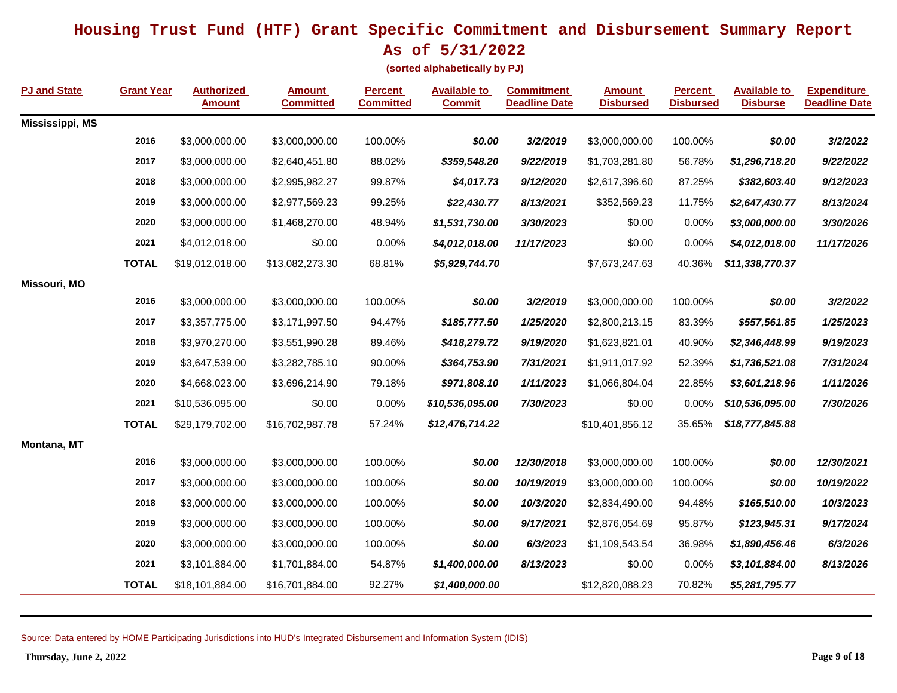**As of 5/31/2022**

**(sorted alphabetically by PJ)**

| <b>PJ and State</b>    | <b>Grant Year</b> | <b>Authorized</b><br><b>Amount</b> | <b>Amount</b><br><b>Committed</b> | <b>Percent</b><br><b>Committed</b> | <b>Available to</b><br><b>Commit</b> | <b>Commitment</b><br><b>Deadline Date</b> | <b>Amount</b><br><b>Disbursed</b> | <b>Percent</b><br><b>Disbursed</b> | <b>Available to</b><br><b>Disburse</b> | <b>Expenditure</b><br><b>Deadline Date</b> |
|------------------------|-------------------|------------------------------------|-----------------------------------|------------------------------------|--------------------------------------|-------------------------------------------|-----------------------------------|------------------------------------|----------------------------------------|--------------------------------------------|
| <b>Mississippi, MS</b> |                   |                                    |                                   |                                    |                                      |                                           |                                   |                                    |                                        |                                            |
|                        | 2016              | \$3,000,000.00                     | \$3,000,000.00                    | 100.00%                            | \$0.00                               | 3/2/2019                                  | \$3,000,000.00                    | 100.00%                            | \$0.00                                 | 3/2/2022                                   |
|                        | 2017              | \$3,000,000.00                     | \$2,640,451.80                    | 88.02%                             | \$359,548.20                         | 9/22/2019                                 | \$1,703,281.80                    | 56.78%                             | \$1,296,718.20                         | 9/22/2022                                  |
|                        | 2018              | \$3,000,000.00                     | \$2,995,982.27                    | 99.87%                             | \$4,017.73                           | 9/12/2020                                 | \$2,617,396.60                    | 87.25%                             | \$382,603.40                           | 9/12/2023                                  |
|                        | 2019              | \$3,000,000.00                     | \$2,977,569.23                    | 99.25%                             | \$22,430.77                          | 8/13/2021                                 | \$352,569.23                      | 11.75%                             | \$2,647,430.77                         | 8/13/2024                                  |
|                        | 2020              | \$3,000,000.00                     | \$1,468,270.00                    | 48.94%                             | \$1,531,730.00                       | 3/30/2023                                 | \$0.00                            | 0.00%                              | \$3,000,000.00                         | 3/30/2026                                  |
|                        | 2021              | \$4,012,018.00                     | \$0.00                            | 0.00%                              | \$4,012,018.00                       | 11/17/2023                                | \$0.00                            | 0.00%                              | \$4,012,018.00                         | 11/17/2026                                 |
|                        | <b>TOTAL</b>      | \$19,012,018.00                    | \$13,082,273.30                   | 68.81%                             | \$5,929,744.70                       |                                           | \$7,673,247.63                    | 40.36%                             | \$11,338,770.37                        |                                            |
| Missouri, MO           |                   |                                    |                                   |                                    |                                      |                                           |                                   |                                    |                                        |                                            |
|                        | 2016              | \$3,000,000.00                     | \$3,000,000.00                    | 100.00%                            | \$0.00                               | 3/2/2019                                  | \$3,000,000.00                    | 100.00%                            | \$0.00                                 | 3/2/2022                                   |
|                        | 2017              | \$3,357,775.00                     | \$3,171,997.50                    | 94.47%                             | \$185,777.50                         | 1/25/2020                                 | \$2,800,213.15                    | 83.39%                             | \$557,561.85                           | 1/25/2023                                  |
|                        | 2018              | \$3,970,270.00                     | \$3,551,990.28                    | 89.46%                             | \$418,279.72                         | 9/19/2020                                 | \$1,623,821.01                    | 40.90%                             | \$2,346,448.99                         | 9/19/2023                                  |
|                        | 2019              | \$3,647,539.00                     | \$3,282,785.10                    | 90.00%                             | \$364,753.90                         | 7/31/2021                                 | \$1,911,017.92                    | 52.39%                             | \$1,736,521.08                         | 7/31/2024                                  |
|                        | 2020              | \$4,668,023.00                     | \$3,696,214.90                    | 79.18%                             | \$971,808.10                         | 1/11/2023                                 | \$1,066,804.04                    | 22.85%                             | \$3,601,218.96                         | 1/11/2026                                  |
|                        | 2021              | \$10,536,095.00                    | \$0.00                            | 0.00%                              | \$10,536,095.00                      | 7/30/2023                                 | \$0.00                            | 0.00%                              | \$10,536,095.00                        | 7/30/2026                                  |
|                        | <b>TOTAL</b>      | \$29,179,702.00                    | \$16,702,987.78                   | 57.24%                             | \$12,476,714.22                      |                                           | \$10,401,856.12                   | 35.65%                             | \$18,777,845.88                        |                                            |
| Montana, MT            |                   |                                    |                                   |                                    |                                      |                                           |                                   |                                    |                                        |                                            |
|                        | 2016              | \$3,000,000.00                     | \$3,000,000.00                    | 100.00%                            | \$0.00                               | 12/30/2018                                | \$3,000,000.00                    | 100.00%                            | \$0.00                                 | 12/30/2021                                 |
|                        | 2017              | \$3,000,000.00                     | \$3,000,000.00                    | 100.00%                            | \$0.00                               | 10/19/2019                                | \$3,000,000.00                    | 100.00%                            | \$0.00                                 | 10/19/2022                                 |
|                        | 2018              | \$3,000,000.00                     | \$3,000,000.00                    | 100.00%                            | \$0.00                               | 10/3/2020                                 | \$2,834,490.00                    | 94.48%                             | \$165,510.00                           | 10/3/2023                                  |
|                        | 2019              | \$3,000,000.00                     | \$3,000,000.00                    | 100.00%                            | \$0.00                               | 9/17/2021                                 | \$2,876,054.69                    | 95.87%                             | \$123,945.31                           | 9/17/2024                                  |
|                        | 2020              | \$3,000,000.00                     | \$3,000,000.00                    | 100.00%                            | \$0.00                               | 6/3/2023                                  | \$1,109,543.54                    | 36.98%                             | \$1,890,456.46                         | 6/3/2026                                   |
|                        | 2021              | \$3,101,884.00                     | \$1,701,884.00                    | 54.87%                             | \$1,400,000.00                       | 8/13/2023                                 | \$0.00                            | 0.00%                              | \$3,101,884.00                         | 8/13/2026                                  |
|                        | <b>TOTAL</b>      | \$18,101,884.00                    | \$16,701,884.00                   | 92.27%                             | \$1,400,000.00                       |                                           | \$12,820,088.23                   | 70.82%                             | \$5,281,795.77                         |                                            |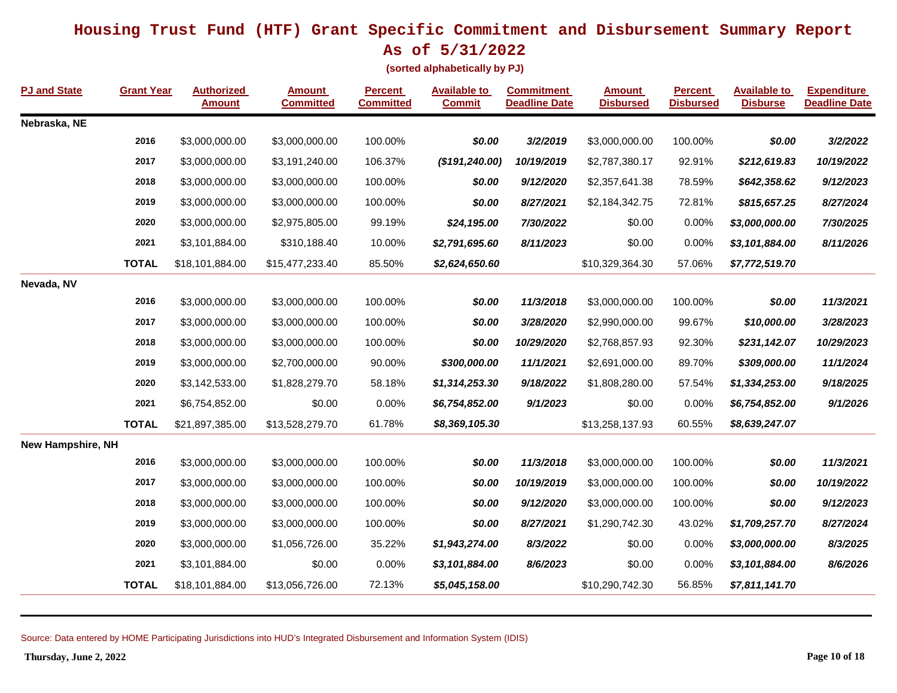**As of 5/31/2022**

**(sorted alphabetically by PJ)**

| PJ and State             | <b>Grant Year</b> | <b>Authorized</b><br><b>Amount</b> | Amount<br><b>Committed</b> | <b>Percent</b><br><b>Committed</b> | <b>Available to</b><br><b>Commit</b> | <b>Commitment</b><br><b>Deadline Date</b> | <b>Amount</b><br><b>Disbursed</b> | <b>Percent</b><br><b>Disbursed</b> | <b>Available to</b><br><b>Disburse</b> | <b>Expenditure</b><br><b>Deadline Date</b> |
|--------------------------|-------------------|------------------------------------|----------------------------|------------------------------------|--------------------------------------|-------------------------------------------|-----------------------------------|------------------------------------|----------------------------------------|--------------------------------------------|
| Nebraska, NE             |                   |                                    |                            |                                    |                                      |                                           |                                   |                                    |                                        |                                            |
|                          | 2016              | \$3,000,000.00                     | \$3,000,000.00             | 100.00%                            | \$0.00                               | 3/2/2019                                  | \$3,000,000.00                    | 100.00%                            | \$0.00                                 | 3/2/2022                                   |
|                          | 2017              | \$3,000,000.00                     | \$3,191,240.00             | 106.37%                            | (\$191, 240.00)                      | 10/19/2019                                | \$2,787,380.17                    | 92.91%                             | \$212,619.83                           | 10/19/2022                                 |
|                          | 2018              | \$3,000,000.00                     | \$3,000,000.00             | 100.00%                            | \$0.00                               | 9/12/2020                                 | \$2,357,641.38                    | 78.59%                             | \$642,358.62                           | 9/12/2023                                  |
|                          | 2019              | \$3,000,000.00                     | \$3,000,000.00             | 100.00%                            | \$0.00                               | 8/27/2021                                 | \$2,184,342.75                    | 72.81%                             | \$815,657.25                           | 8/27/2024                                  |
|                          | 2020              | \$3,000,000.00                     | \$2,975,805.00             | 99.19%                             | \$24,195.00                          | 7/30/2022                                 | \$0.00                            | 0.00%                              | \$3,000,000.00                         | 7/30/2025                                  |
|                          | 2021              | \$3,101,884.00                     | \$310,188.40               | 10.00%                             | \$2,791,695.60                       | 8/11/2023                                 | \$0.00                            | 0.00%                              | \$3,101,884.00                         | 8/11/2026                                  |
|                          | <b>TOTAL</b>      | \$18,101,884.00                    | \$15,477,233.40            | 85.50%                             | \$2,624,650.60                       |                                           | \$10,329,364.30                   | 57.06%                             | \$7,772,519.70                         |                                            |
| Nevada, NV               |                   |                                    |                            |                                    |                                      |                                           |                                   |                                    |                                        |                                            |
|                          | 2016              | \$3,000,000.00                     | \$3,000,000.00             | 100.00%                            | \$0.00                               | 11/3/2018                                 | \$3,000,000.00                    | 100.00%                            | \$0.00                                 | 11/3/2021                                  |
|                          | 2017              | \$3,000,000.00                     | \$3,000,000.00             | 100.00%                            | \$0.00                               | 3/28/2020                                 | \$2,990,000.00                    | 99.67%                             | \$10,000.00                            | 3/28/2023                                  |
|                          | 2018              | \$3,000,000.00                     | \$3,000,000.00             | 100.00%                            | \$0.00                               | 10/29/2020                                | \$2,768,857.93                    | 92.30%                             | \$231,142.07                           | 10/29/2023                                 |
|                          | 2019              | \$3,000,000.00                     | \$2,700,000.00             | 90.00%                             | \$300,000.00                         | 11/1/2021                                 | \$2,691,000.00                    | 89.70%                             | \$309,000.00                           | 11/1/2024                                  |
|                          | 2020              | \$3,142,533.00                     | \$1,828,279.70             | 58.18%                             | \$1,314,253.30                       | 9/18/2022                                 | \$1,808,280.00                    | 57.54%                             | \$1,334,253.00                         | 9/18/2025                                  |
|                          | 2021              | \$6,754,852.00                     | \$0.00                     | 0.00%                              | \$6,754,852.00                       | 9/1/2023                                  | \$0.00                            | 0.00%                              | \$6,754,852.00                         | 9/1/2026                                   |
|                          | <b>TOTAL</b>      | \$21,897,385.00                    | \$13,528,279.70            | 61.78%                             | \$8,369,105.30                       |                                           | \$13,258,137.93                   | 60.55%                             | \$8,639,247.07                         |                                            |
| <b>New Hampshire, NH</b> |                   |                                    |                            |                                    |                                      |                                           |                                   |                                    |                                        |                                            |
|                          | 2016              | \$3,000,000.00                     | \$3,000,000.00             | 100.00%                            | \$0.00                               | 11/3/2018                                 | \$3,000,000.00                    | 100.00%                            | \$0.00                                 | 11/3/2021                                  |
|                          | 2017              | \$3,000,000.00                     | \$3,000,000.00             | 100.00%                            | \$0.00                               | 10/19/2019                                | \$3,000,000.00                    | 100.00%                            | \$0.00                                 | 10/19/2022                                 |
|                          | 2018              | \$3,000,000.00                     | \$3,000,000.00             | 100.00%                            | \$0.00                               | 9/12/2020                                 | \$3,000,000.00                    | 100.00%                            | \$0.00                                 | 9/12/2023                                  |
|                          | 2019              | \$3,000,000.00                     | \$3,000,000.00             | 100.00%                            | \$0.00                               | 8/27/2021                                 | \$1,290,742.30                    | 43.02%                             | \$1,709,257.70                         | 8/27/2024                                  |
|                          | 2020              | \$3,000,000.00                     | \$1,056,726.00             | 35.22%                             | \$1,943,274.00                       | 8/3/2022                                  | \$0.00                            | 0.00%                              | \$3,000,000.00                         | 8/3/2025                                   |
|                          | 2021              | \$3,101,884.00                     | \$0.00                     | 0.00%                              | \$3,101,884.00                       | 8/6/2023                                  | \$0.00                            | 0.00%                              | \$3,101,884.00                         | 8/6/2026                                   |
|                          | <b>TOTAL</b>      | \$18,101,884.00                    | \$13,056,726.00            | 72.13%                             | \$5,045,158.00                       |                                           | \$10,290,742.30                   | 56.85%                             | \$7,811,141.70                         |                                            |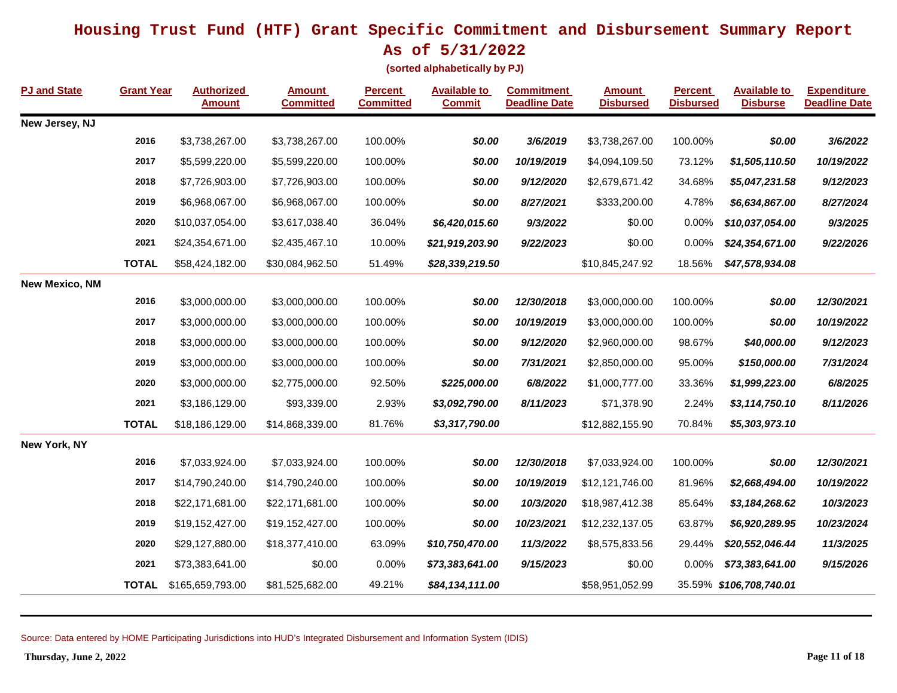**As of 5/31/2022**

**(sorted alphabetically by PJ)**

| <b>PJ and State</b>   | <b>Grant Year</b> | <b>Authorized</b><br><b>Amount</b> | <b>Amount</b><br><b>Committed</b> | <b>Percent</b><br><b>Committed</b> | <b>Available to</b><br><b>Commit</b> | <b>Commitment</b><br><b>Deadline Date</b> | <b>Amount</b><br><b>Disbursed</b> | <b>Percent</b><br><b>Disbursed</b> | <b>Available to</b><br><b>Disburse</b> | <b>Expenditure</b><br><b>Deadline Date</b> |
|-----------------------|-------------------|------------------------------------|-----------------------------------|------------------------------------|--------------------------------------|-------------------------------------------|-----------------------------------|------------------------------------|----------------------------------------|--------------------------------------------|
| New Jersey, NJ        |                   |                                    |                                   |                                    |                                      |                                           |                                   |                                    |                                        |                                            |
|                       | 2016              | \$3,738,267.00                     | \$3,738,267.00                    | 100.00%                            | \$0.00                               | 3/6/2019                                  | \$3,738,267.00                    | 100.00%                            | \$0.00                                 | 3/6/2022                                   |
|                       | 2017              | \$5,599,220.00                     | \$5,599,220.00                    | 100.00%                            | \$0.00                               | 10/19/2019                                | \$4,094,109.50                    | 73.12%                             | \$1,505,110.50                         | 10/19/2022                                 |
|                       | 2018              | \$7,726,903.00                     | \$7,726,903.00                    | 100.00%                            | \$0.00                               | 9/12/2020                                 | \$2,679,671.42                    | 34.68%                             | \$5,047,231.58                         | 9/12/2023                                  |
|                       | 2019              | \$6,968,067.00                     | \$6,968,067.00                    | 100.00%                            | \$0.00                               | 8/27/2021                                 | \$333,200.00                      | 4.78%                              | \$6,634,867.00                         | 8/27/2024                                  |
|                       | 2020              | \$10,037,054.00                    | \$3,617,038.40                    | 36.04%                             | \$6,420,015.60                       | 9/3/2022                                  | \$0.00                            | 0.00%                              | \$10,037,054.00                        | 9/3/2025                                   |
|                       | 2021              | \$24,354,671.00                    | \$2,435,467.10                    | 10.00%                             | \$21,919,203.90                      | 9/22/2023                                 | \$0.00                            | 0.00%                              | \$24,354,671.00                        | 9/22/2026                                  |
|                       | <b>TOTAL</b>      | \$58,424,182.00                    | \$30,084,962.50                   | 51.49%                             | \$28,339,219.50                      |                                           | \$10,845,247.92                   | 18.56%                             | \$47,578,934.08                        |                                            |
| <b>New Mexico, NM</b> |                   |                                    |                                   |                                    |                                      |                                           |                                   |                                    |                                        |                                            |
|                       | 2016              | \$3,000,000.00                     | \$3,000,000.00                    | 100.00%                            | \$0.00                               | 12/30/2018                                | \$3,000,000.00                    | 100.00%                            | \$0.00                                 | 12/30/2021                                 |
|                       | 2017              | \$3,000,000.00                     | \$3,000,000.00                    | 100.00%                            | \$0.00                               | 10/19/2019                                | \$3,000,000.00                    | 100.00%                            | \$0.00                                 | 10/19/2022                                 |
|                       | 2018              | \$3,000,000.00                     | \$3,000,000.00                    | 100.00%                            | \$0.00                               | 9/12/2020                                 | \$2,960,000.00                    | 98.67%                             | \$40,000.00                            | 9/12/2023                                  |
|                       | 2019              | \$3,000,000.00                     | \$3,000,000.00                    | 100.00%                            | \$0.00                               | 7/31/2021                                 | \$2,850,000.00                    | 95.00%                             | \$150,000.00                           | 7/31/2024                                  |
|                       | 2020              | \$3,000,000.00                     | \$2,775,000.00                    | 92.50%                             | \$225,000.00                         | 6/8/2022                                  | \$1,000,777.00                    | 33.36%                             | \$1,999,223.00                         | 6/8/2025                                   |
|                       | 2021              | \$3,186,129.00                     | \$93,339.00                       | 2.93%                              | \$3,092,790.00                       | 8/11/2023                                 | \$71,378.90                       | 2.24%                              | \$3,114,750.10                         | 8/11/2026                                  |
|                       | <b>TOTAL</b>      | \$18,186,129.00                    | \$14,868,339.00                   | 81.76%                             | \$3,317,790.00                       |                                           | \$12,882,155.90                   | 70.84%                             | \$5,303,973.10                         |                                            |
| New York, NY          |                   |                                    |                                   |                                    |                                      |                                           |                                   |                                    |                                        |                                            |
|                       | 2016              | \$7,033,924.00                     | \$7,033,924.00                    | 100.00%                            | \$0.00                               | 12/30/2018                                | \$7,033,924.00                    | 100.00%                            | \$0.00                                 | 12/30/2021                                 |
|                       | 2017              | \$14,790,240.00                    | \$14,790,240.00                   | 100.00%                            | \$0.00                               | 10/19/2019                                | \$12,121,746.00                   | 81.96%                             | \$2,668,494.00                         | 10/19/2022                                 |
|                       | 2018              | \$22,171,681.00                    | \$22,171,681.00                   | 100.00%                            | \$0.00                               | 10/3/2020                                 | \$18,987,412.38                   | 85.64%                             | \$3,184,268.62                         | 10/3/2023                                  |
|                       | 2019              | \$19,152,427.00                    | \$19,152,427.00                   | 100.00%                            | \$0.00                               | 10/23/2021                                | \$12,232,137.05                   | 63.87%                             | \$6,920,289.95                         | 10/23/2024                                 |
|                       | 2020              | \$29,127,880.00                    | \$18,377,410.00                   | 63.09%                             | \$10,750,470.00                      | 11/3/2022                                 | \$8,575,833.56                    | 29.44%                             | \$20,552,046.44                        | 11/3/2025                                  |
|                       | 2021              | \$73,383,641.00                    | \$0.00                            | 0.00%                              | \$73,383,641.00                      | 9/15/2023                                 | \$0.00                            | 0.00%                              | \$73,383,641.00                        | 9/15/2026                                  |
|                       | <b>TOTAL</b>      | \$165,659,793.00                   | \$81,525,682.00                   | 49.21%                             | \$84,134,111.00                      |                                           | \$58,951,052.99                   |                                    | 35.59% \$106,708,740.01                |                                            |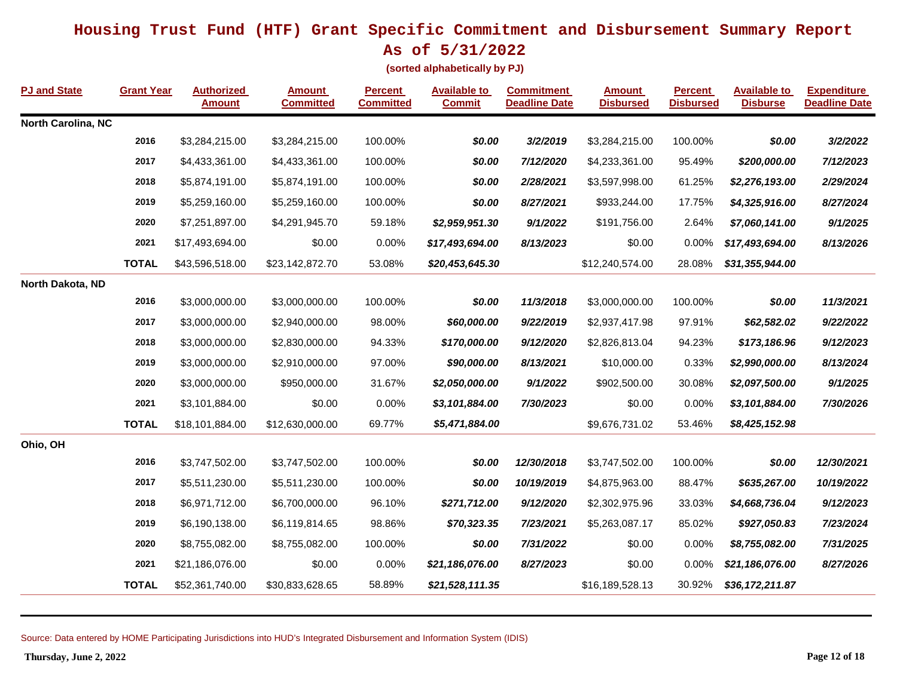**As of 5/31/2022**

**(sorted alphabetically by PJ)**

| PJ and State       | <b>Grant Year</b> | <b>Authorized</b><br><b>Amount</b> | <b>Amount</b><br><b>Committed</b> | <b>Percent</b><br><b>Committed</b> | <b>Available to</b><br><b>Commit</b> | <b>Commitment</b><br><b>Deadline Date</b> | <b>Amount</b><br><b>Disbursed</b> | <b>Percent</b><br><b>Disbursed</b> | <b>Available to</b><br><b>Disburse</b> | <b>Expenditure</b><br><b>Deadline Date</b> |
|--------------------|-------------------|------------------------------------|-----------------------------------|------------------------------------|--------------------------------------|-------------------------------------------|-----------------------------------|------------------------------------|----------------------------------------|--------------------------------------------|
| North Carolina, NC |                   |                                    |                                   |                                    |                                      |                                           |                                   |                                    |                                        |                                            |
|                    | 2016              | \$3,284,215.00                     | \$3,284,215.00                    | 100.00%                            | \$0.00                               | 3/2/2019                                  | \$3,284,215.00                    | 100.00%                            | \$0.00                                 | 3/2/2022                                   |
|                    | 2017              | \$4,433,361.00                     | \$4,433,361.00                    | 100.00%                            | \$0.00                               | 7/12/2020                                 | \$4,233,361.00                    | 95.49%                             | \$200,000.00                           | 7/12/2023                                  |
|                    | 2018              | \$5,874,191.00                     | \$5,874,191.00                    | 100.00%                            | \$0.00                               | 2/28/2021                                 | \$3,597,998.00                    | 61.25%                             | \$2,276,193.00                         | 2/29/2024                                  |
|                    | 2019              | \$5,259,160.00                     | \$5,259,160.00                    | 100.00%                            | \$0.00                               | 8/27/2021                                 | \$933,244.00                      | 17.75%                             | \$4,325,916.00                         | 8/27/2024                                  |
|                    | 2020              | \$7,251,897.00                     | \$4,291,945.70                    | 59.18%                             | \$2,959,951.30                       | 9/1/2022                                  | \$191,756.00                      | 2.64%                              | \$7,060,141.00                         | 9/1/2025                                   |
|                    | 2021              | \$17,493,694.00                    | \$0.00                            | 0.00%                              | \$17,493,694.00                      | 8/13/2023                                 | \$0.00                            | 0.00%                              | \$17,493,694.00                        | 8/13/2026                                  |
|                    | <b>TOTAL</b>      | \$43,596,518.00                    | \$23,142,872.70                   | 53.08%                             | \$20,453,645.30                      |                                           | \$12,240,574.00                   | 28.08%                             | \$31,355,944.00                        |                                            |
| North Dakota, ND   |                   |                                    |                                   |                                    |                                      |                                           |                                   |                                    |                                        |                                            |
|                    | 2016              | \$3,000,000.00                     | \$3,000,000.00                    | 100.00%                            | \$0.00                               | 11/3/2018                                 | \$3,000,000.00                    | 100.00%                            | \$0.00                                 | 11/3/2021                                  |
|                    | 2017              | \$3,000,000.00                     | \$2,940,000.00                    | 98.00%                             | \$60,000.00                          | 9/22/2019                                 | \$2,937,417.98                    | 97.91%                             | \$62,582.02                            | 9/22/2022                                  |
|                    | 2018              | \$3,000,000.00                     | \$2,830,000.00                    | 94.33%                             | \$170,000.00                         | 9/12/2020                                 | \$2,826,813.04                    | 94.23%                             | \$173,186.96                           | 9/12/2023                                  |
|                    | 2019              | \$3,000,000.00                     | \$2,910,000.00                    | 97.00%                             | \$90,000.00                          | 8/13/2021                                 | \$10,000.00                       | 0.33%                              | \$2,990,000.00                         | 8/13/2024                                  |
|                    | 2020              | \$3,000,000.00                     | \$950,000.00                      | 31.67%                             | \$2,050,000.00                       | 9/1/2022                                  | \$902,500.00                      | 30.08%                             | \$2,097,500.00                         | 9/1/2025                                   |
|                    | 2021              | \$3,101,884.00                     | \$0.00                            | 0.00%                              | \$3,101,884.00                       | 7/30/2023                                 | \$0.00                            | 0.00%                              | \$3,101,884.00                         | 7/30/2026                                  |
|                    | <b>TOTAL</b>      | \$18,101,884.00                    | \$12,630,000.00                   | 69.77%                             | \$5,471,884.00                       |                                           | \$9,676,731.02                    | 53.46%                             | \$8,425,152.98                         |                                            |
| Ohio, OH           |                   |                                    |                                   |                                    |                                      |                                           |                                   |                                    |                                        |                                            |
|                    | 2016              | \$3,747,502.00                     | \$3,747,502.00                    | 100.00%                            | \$0.00                               | 12/30/2018                                | \$3,747,502.00                    | 100.00%                            | \$0.00                                 | 12/30/2021                                 |
|                    | 2017              | \$5,511,230.00                     | \$5,511,230.00                    | 100.00%                            | \$0.00                               | 10/19/2019                                | \$4,875,963.00                    | 88.47%                             | \$635,267.00                           | 10/19/2022                                 |
|                    | 2018              | \$6,971,712.00                     | \$6,700,000.00                    | 96.10%                             | \$271,712.00                         | 9/12/2020                                 | \$2,302,975.96                    | 33.03%                             | \$4,668,736.04                         | 9/12/2023                                  |
|                    | 2019              | \$6,190,138.00                     | \$6,119,814.65                    | 98.86%                             | \$70,323.35                          | 7/23/2021                                 | \$5,263,087.17                    | 85.02%                             | \$927,050.83                           | 7/23/2024                                  |
|                    | 2020              | \$8,755,082.00                     | \$8,755,082.00                    | 100.00%                            | \$0.00                               | 7/31/2022                                 | \$0.00                            | 0.00%                              | \$8,755,082.00                         | 7/31/2025                                  |
|                    | 2021              | \$21,186,076.00                    | \$0.00                            | 0.00%                              | \$21,186,076.00                      | 8/27/2023                                 | \$0.00                            | 0.00%                              | \$21,186,076.00                        | 8/27/2026                                  |
|                    | <b>TOTAL</b>      | \$52,361,740.00                    | \$30,833,628.65                   | 58.89%                             | \$21,528,111.35                      |                                           | \$16,189,528.13                   | 30.92%                             | \$36,172,211.87                        |                                            |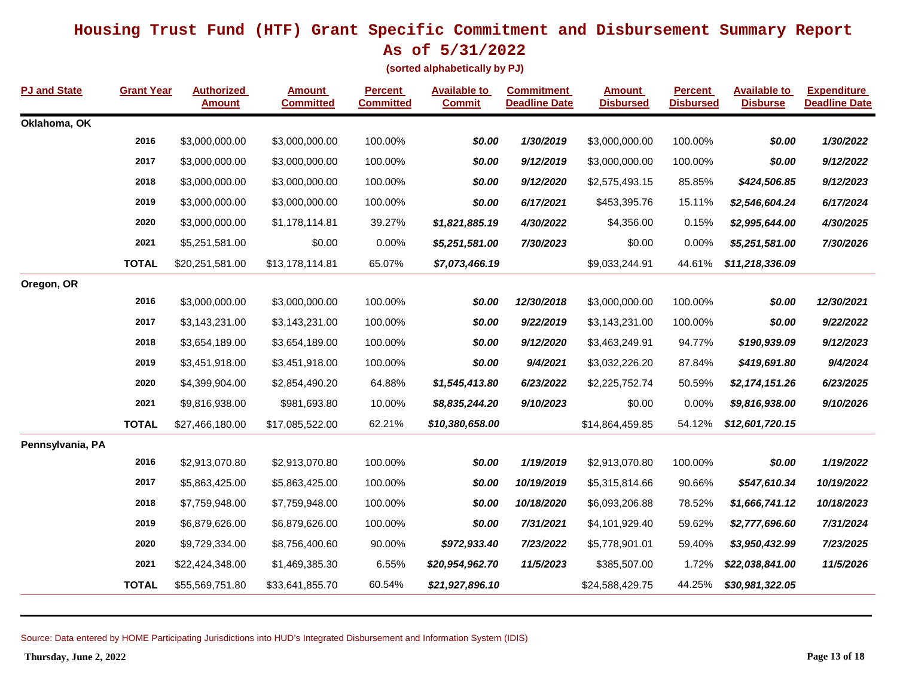**As of 5/31/2022**

**(sorted alphabetically by PJ)**

| <b>PJ and State</b> | <b>Grant Year</b> | <b>Authorized</b><br><b>Amount</b> | <b>Amount</b><br><b>Committed</b> | <b>Percent</b><br><b>Committed</b> | <b>Available to</b><br><b>Commit</b> | <b>Commitment</b><br><b>Deadline Date</b> | <b>Amount</b><br><b>Disbursed</b> | <b>Percent</b><br><b>Disbursed</b> | <b>Available to</b><br><b>Disburse</b> | <b>Expenditure</b><br><b>Deadline Date</b> |
|---------------------|-------------------|------------------------------------|-----------------------------------|------------------------------------|--------------------------------------|-------------------------------------------|-----------------------------------|------------------------------------|----------------------------------------|--------------------------------------------|
| Oklahoma, OK        |                   |                                    |                                   |                                    |                                      |                                           |                                   |                                    |                                        |                                            |
|                     | 2016              | \$3,000,000.00                     | \$3,000,000.00                    | 100.00%                            | \$0.00                               | 1/30/2019                                 | \$3,000,000.00                    | 100.00%                            | \$0.00                                 | 1/30/2022                                  |
|                     | 2017              | \$3,000,000.00                     | \$3,000,000.00                    | 100.00%                            | \$0.00                               | 9/12/2019                                 | \$3,000,000.00                    | 100.00%                            | \$0.00                                 | 9/12/2022                                  |
|                     | 2018              | \$3,000,000.00                     | \$3,000,000.00                    | 100.00%                            | \$0.00                               | 9/12/2020                                 | \$2,575,493.15                    | 85.85%                             | \$424,506.85                           | 9/12/2023                                  |
|                     | 2019              | \$3,000,000.00                     | \$3,000,000.00                    | 100.00%                            | \$0.00                               | 6/17/2021                                 | \$453,395.76                      | 15.11%                             | \$2,546,604.24                         | 6/17/2024                                  |
|                     | 2020              | \$3,000,000.00                     | \$1,178,114.81                    | 39.27%                             | \$1,821,885.19                       | 4/30/2022                                 | \$4,356.00                        | 0.15%                              | \$2,995,644.00                         | 4/30/2025                                  |
|                     | 2021              | \$5,251,581.00                     | \$0.00                            | 0.00%                              | \$5,251,581.00                       | 7/30/2023                                 | \$0.00                            | 0.00%                              | \$5,251,581.00                         | 7/30/2026                                  |
|                     | <b>TOTAL</b>      | \$20,251,581.00                    | \$13,178,114.81                   | 65.07%                             | \$7,073,466.19                       |                                           | \$9,033,244.91                    | 44.61%                             | \$11,218,336.09                        |                                            |
| Oregon, OR          |                   |                                    |                                   |                                    |                                      |                                           |                                   |                                    |                                        |                                            |
|                     | 2016              | \$3,000,000.00                     | \$3,000,000.00                    | 100.00%                            | \$0.00                               | 12/30/2018                                | \$3,000,000.00                    | 100.00%                            | \$0.00                                 | 12/30/2021                                 |
|                     | 2017              | \$3,143,231.00                     | \$3,143,231.00                    | 100.00%                            | \$0.00                               | 9/22/2019                                 | \$3,143,231.00                    | 100.00%                            | \$0.00                                 | 9/22/2022                                  |
|                     | 2018              | \$3,654,189.00                     | \$3,654,189.00                    | 100.00%                            | \$0.00                               | 9/12/2020                                 | \$3,463,249.91                    | 94.77%                             | \$190,939.09                           | 9/12/2023                                  |
|                     | 2019              | \$3,451,918.00                     | \$3,451,918.00                    | 100.00%                            | \$0.00                               | 9/4/2021                                  | \$3,032,226.20                    | 87.84%                             | \$419,691.80                           | 9/4/2024                                   |
|                     | 2020              | \$4,399,904.00                     | \$2,854,490.20                    | 64.88%                             | \$1,545,413.80                       | 6/23/2022                                 | \$2,225,752.74                    | 50.59%                             | \$2,174,151.26                         | 6/23/2025                                  |
|                     | 2021              | \$9,816,938.00                     | \$981,693.80                      | 10.00%                             | \$8,835,244.20                       | 9/10/2023                                 | \$0.00                            | 0.00%                              | \$9,816,938.00                         | 9/10/2026                                  |
|                     | <b>TOTAL</b>      | \$27,466,180.00                    | \$17,085,522.00                   | 62.21%                             | \$10,380,658.00                      |                                           | \$14,864,459.85                   | 54.12%                             | \$12,601,720.15                        |                                            |
| Pennsylvania, PA    |                   |                                    |                                   |                                    |                                      |                                           |                                   |                                    |                                        |                                            |
|                     | 2016              | \$2,913,070.80                     | \$2,913,070.80                    | 100.00%                            | \$0.00                               | 1/19/2019                                 | \$2,913,070.80                    | 100.00%                            | \$0.00                                 | 1/19/2022                                  |
|                     | 2017              | \$5,863,425.00                     | \$5,863,425.00                    | 100.00%                            | \$0.00                               | 10/19/2019                                | \$5,315,814.66                    | 90.66%                             | \$547,610.34                           | 10/19/2022                                 |
|                     | 2018              | \$7,759,948.00                     | \$7,759,948.00                    | 100.00%                            | \$0.00                               | 10/18/2020                                | \$6,093,206.88                    | 78.52%                             | \$1,666,741.12                         | 10/18/2023                                 |
|                     | 2019              | \$6,879,626.00                     | \$6,879,626.00                    | 100.00%                            | \$0.00                               | 7/31/2021                                 | \$4,101,929.40                    | 59.62%                             | \$2,777,696.60                         | 7/31/2024                                  |
|                     | 2020              | \$9,729,334.00                     | \$8,756,400.60                    | 90.00%                             | \$972,933.40                         | 7/23/2022                                 | \$5,778,901.01                    | 59.40%                             | \$3,950,432.99                         | 7/23/2025                                  |
|                     | 2021              | \$22,424,348.00                    | \$1,469,385.30                    | 6.55%                              | \$20,954,962.70                      | 11/5/2023                                 | \$385,507.00                      | 1.72%                              | \$22,038,841.00                        | 11/5/2026                                  |
|                     | <b>TOTAL</b>      | \$55,569,751.80                    | \$33,641,855.70                   | 60.54%                             | \$21,927,896.10                      |                                           | \$24,588,429.75                   | 44.25%                             | \$30,981,322.05                        |                                            |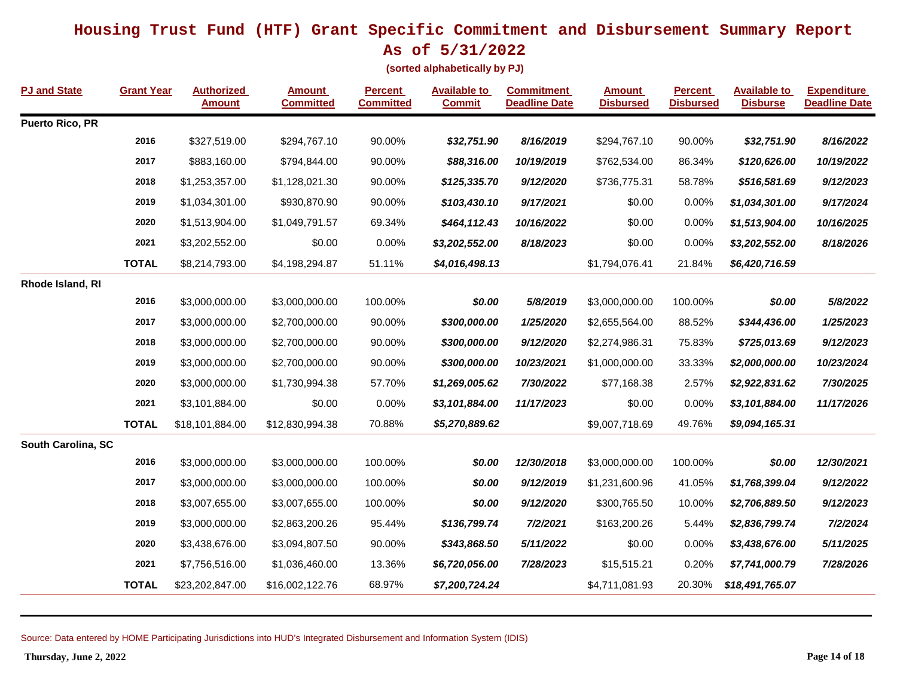**As of 5/31/2022**

**(sorted alphabetically by PJ)**

| <b>PJ and State</b> | <b>Grant Year</b> | <b>Authorized</b><br><b>Amount</b> | <b>Amount</b><br><b>Committed</b> | <b>Percent</b><br><b>Committed</b> | <b>Available to</b><br><b>Commit</b> | <b>Commitment</b><br><b>Deadline Date</b> | <b>Amount</b><br><b>Disbursed</b> | <b>Percent</b><br><b>Disbursed</b> | <b>Available to</b><br><b>Disburse</b> | <b>Expenditure</b><br><b>Deadline Date</b> |
|---------------------|-------------------|------------------------------------|-----------------------------------|------------------------------------|--------------------------------------|-------------------------------------------|-----------------------------------|------------------------------------|----------------------------------------|--------------------------------------------|
| Puerto Rico, PR     |                   |                                    |                                   |                                    |                                      |                                           |                                   |                                    |                                        |                                            |
|                     | 2016              | \$327,519.00                       | \$294,767.10                      | 90.00%                             | \$32,751.90                          | 8/16/2019                                 | \$294,767.10                      | 90.00%                             | \$32,751.90                            | 8/16/2022                                  |
|                     | 2017              | \$883,160.00                       | \$794,844.00                      | 90.00%                             | \$88,316.00                          | 10/19/2019                                | \$762,534.00                      | 86.34%                             | \$120,626.00                           | 10/19/2022                                 |
|                     | 2018              | \$1,253,357.00                     | \$1,128,021.30                    | 90.00%                             | \$125,335.70                         | 9/12/2020                                 | \$736,775.31                      | 58.78%                             | \$516,581.69                           | 9/12/2023                                  |
|                     | 2019              | \$1,034,301.00                     | \$930,870.90                      | 90.00%                             | \$103,430.10                         | 9/17/2021                                 | \$0.00                            | 0.00%                              | \$1,034,301.00                         | 9/17/2024                                  |
|                     | 2020              | \$1,513,904.00                     | \$1,049,791.57                    | 69.34%                             | \$464,112.43                         | 10/16/2022                                | \$0.00                            | 0.00%                              | \$1,513,904.00                         | 10/16/2025                                 |
|                     | 2021              | \$3,202,552.00                     | \$0.00                            | 0.00%                              | \$3,202,552.00                       | 8/18/2023                                 | \$0.00                            | 0.00%                              | \$3,202,552.00                         | 8/18/2026                                  |
|                     | <b>TOTAL</b>      | \$8,214,793.00                     | \$4,198,294.87                    | 51.11%                             | \$4,016,498.13                       |                                           | \$1,794,076.41                    | 21.84%                             | \$6,420,716.59                         |                                            |
| Rhode Island, RI    |                   |                                    |                                   |                                    |                                      |                                           |                                   |                                    |                                        |                                            |
|                     | 2016              | \$3,000,000.00                     | \$3,000,000.00                    | 100.00%                            | \$0.00                               | 5/8/2019                                  | \$3,000,000.00                    | 100.00%                            | \$0.00                                 | 5/8/2022                                   |
|                     | 2017              | \$3,000,000.00                     | \$2,700,000.00                    | 90.00%                             | \$300,000.00                         | 1/25/2020                                 | \$2,655,564.00                    | 88.52%                             | \$344,436.00                           | 1/25/2023                                  |
|                     | 2018              | \$3,000,000.00                     | \$2,700,000.00                    | 90.00%                             | \$300,000.00                         | 9/12/2020                                 | \$2,274,986.31                    | 75.83%                             | \$725,013.69                           | 9/12/2023                                  |
|                     | 2019              | \$3,000,000.00                     | \$2,700,000.00                    | 90.00%                             | \$300,000.00                         | 10/23/2021                                | \$1,000,000.00                    | 33.33%                             | \$2,000,000.00                         | 10/23/2024                                 |
|                     | 2020              | \$3,000,000.00                     | \$1,730,994.38                    | 57.70%                             | \$1,269,005.62                       | 7/30/2022                                 | \$77,168.38                       | 2.57%                              | \$2,922,831.62                         | 7/30/2025                                  |
|                     | 2021              | \$3,101,884.00                     | \$0.00                            | 0.00%                              | \$3,101,884.00                       | 11/17/2023                                | \$0.00                            | 0.00%                              | \$3,101,884.00                         | 11/17/2026                                 |
|                     | <b>TOTAL</b>      | \$18,101,884.00                    | \$12,830,994.38                   | 70.88%                             | \$5,270,889.62                       |                                           | \$9,007,718.69                    | 49.76%                             | \$9,094,165.31                         |                                            |
| South Carolina, SC  |                   |                                    |                                   |                                    |                                      |                                           |                                   |                                    |                                        |                                            |
|                     | 2016              | \$3,000,000.00                     | \$3,000,000.00                    | 100.00%                            | \$0.00                               | 12/30/2018                                | \$3,000,000.00                    | 100.00%                            | \$0.00                                 | 12/30/2021                                 |
|                     | 2017              | \$3,000,000.00                     | \$3,000,000.00                    | 100.00%                            | \$0.00                               | 9/12/2019                                 | \$1,231,600.96                    | 41.05%                             | \$1,768,399.04                         | 9/12/2022                                  |
|                     | 2018              | \$3,007,655.00                     | \$3,007,655.00                    | 100.00%                            | \$0.00                               | 9/12/2020                                 | \$300,765.50                      | 10.00%                             | \$2,706,889.50                         | 9/12/2023                                  |
|                     | 2019              | \$3,000,000.00                     | \$2,863,200.26                    | 95.44%                             | \$136,799.74                         | 7/2/2021                                  | \$163,200.26                      | 5.44%                              | \$2,836,799.74                         | 7/2/2024                                   |
|                     | 2020              | \$3,438,676.00                     | \$3,094,807.50                    | 90.00%                             | \$343,868.50                         | 5/11/2022                                 | \$0.00                            | 0.00%                              | \$3,438,676.00                         | 5/11/2025                                  |
|                     | 2021              | \$7,756,516.00                     | \$1,036,460.00                    | 13.36%                             | \$6,720,056.00                       | 7/28/2023                                 | \$15,515.21                       | 0.20%                              | \$7,741,000.79                         | 7/28/2026                                  |
|                     | <b>TOTAL</b>      | \$23,202,847.00                    | \$16,002,122.76                   | 68.97%                             | \$7,200,724.24                       |                                           | \$4,711,081.93                    | 20.30%                             | \$18,491,765.07                        |                                            |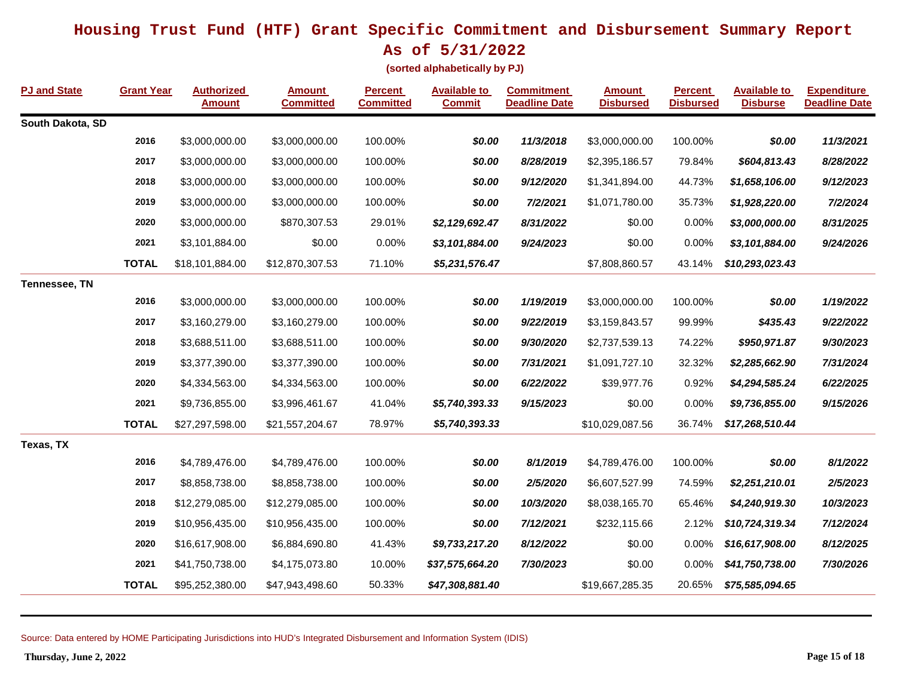**As of 5/31/2022**

**(sorted alphabetically by PJ)**

| <b>PJ and State</b> | <b>Grant Year</b> | <b>Authorized</b><br><b>Amount</b> | <b>Amount</b><br><b>Committed</b> | <b>Percent</b><br><b>Committed</b> | <b>Available to</b><br><b>Commit</b> | <b>Commitment</b><br><b>Deadline Date</b> | <b>Amount</b><br><b>Disbursed</b> | <b>Percent</b><br><b>Disbursed</b> | <b>Available to</b><br><b>Disburse</b> | <b>Expenditure</b><br><b>Deadline Date</b> |
|---------------------|-------------------|------------------------------------|-----------------------------------|------------------------------------|--------------------------------------|-------------------------------------------|-----------------------------------|------------------------------------|----------------------------------------|--------------------------------------------|
| South Dakota, SD    |                   |                                    |                                   |                                    |                                      |                                           |                                   |                                    |                                        |                                            |
|                     | 2016              | \$3,000,000.00                     | \$3,000,000.00                    | 100.00%                            | \$0.00                               | 11/3/2018                                 | \$3,000,000.00                    | 100.00%                            | \$0.00                                 | 11/3/2021                                  |
|                     | 2017              | \$3,000,000.00                     | \$3,000,000.00                    | 100.00%                            | \$0.00                               | 8/28/2019                                 | \$2,395,186.57                    | 79.84%                             | \$604,813.43                           | 8/28/2022                                  |
|                     | 2018              | \$3,000,000.00                     | \$3,000,000.00                    | 100.00%                            | \$0.00                               | 9/12/2020                                 | \$1,341,894.00                    | 44.73%                             | \$1,658,106.00                         | 9/12/2023                                  |
|                     | 2019              | \$3,000,000.00                     | \$3,000,000.00                    | 100.00%                            | \$0.00                               | 7/2/2021                                  | \$1,071,780.00                    | 35.73%                             | \$1,928,220.00                         | 7/2/2024                                   |
|                     | 2020              | \$3,000,000.00                     | \$870,307.53                      | 29.01%                             | \$2,129,692.47                       | 8/31/2022                                 | \$0.00                            | 0.00%                              | \$3,000,000.00                         | 8/31/2025                                  |
|                     | 2021              | \$3,101,884.00                     | \$0.00                            | 0.00%                              | \$3,101,884.00                       | 9/24/2023                                 | \$0.00                            | 0.00%                              | \$3,101,884.00                         | 9/24/2026                                  |
|                     | <b>TOTAL</b>      | \$18,101,884.00                    | \$12,870,307.53                   | 71.10%                             | \$5,231,576.47                       |                                           | \$7,808,860.57                    | 43.14%                             | \$10,293,023.43                        |                                            |
| Tennessee, TN       |                   |                                    |                                   |                                    |                                      |                                           |                                   |                                    |                                        |                                            |
|                     | 2016              | \$3,000,000.00                     | \$3,000,000.00                    | 100.00%                            | \$0.00                               | 1/19/2019                                 | \$3,000,000.00                    | 100.00%                            | \$0.00                                 | 1/19/2022                                  |
|                     | 2017              | \$3,160,279.00                     | \$3,160,279.00                    | 100.00%                            | \$0.00                               | 9/22/2019                                 | \$3,159,843.57                    | 99.99%                             | \$435.43                               | 9/22/2022                                  |
|                     | 2018              | \$3,688,511.00                     | \$3,688,511.00                    | 100.00%                            | \$0.00                               | 9/30/2020                                 | \$2,737,539.13                    | 74.22%                             | \$950,971.87                           | 9/30/2023                                  |
|                     | 2019              | \$3,377,390.00                     | \$3,377,390.00                    | 100.00%                            | \$0.00                               | 7/31/2021                                 | \$1,091,727.10                    | 32.32%                             | \$2,285,662.90                         | 7/31/2024                                  |
|                     | 2020              | \$4,334,563.00                     | \$4,334,563.00                    | 100.00%                            | \$0.00                               | 6/22/2022                                 | \$39,977.76                       | 0.92%                              | \$4,294,585.24                         | 6/22/2025                                  |
|                     | 2021              | \$9,736,855.00                     | \$3,996,461.67                    | 41.04%                             | \$5,740,393.33                       | 9/15/2023                                 | \$0.00                            | 0.00%                              | \$9,736,855.00                         | 9/15/2026                                  |
|                     | <b>TOTAL</b>      | \$27,297,598.00                    | \$21,557,204.67                   | 78.97%                             | \$5,740,393.33                       |                                           | \$10,029,087.56                   | 36.74%                             | \$17,268,510.44                        |                                            |
| Texas, TX           |                   |                                    |                                   |                                    |                                      |                                           |                                   |                                    |                                        |                                            |
|                     | 2016              | \$4,789,476.00                     | \$4,789,476.00                    | 100.00%                            | \$0.00                               | 8/1/2019                                  | \$4,789,476.00                    | 100.00%                            | \$0.00                                 | 8/1/2022                                   |
|                     | 2017              | \$8,858,738.00                     | \$8,858,738.00                    | 100.00%                            | \$0.00                               | 2/5/2020                                  | \$6,607,527.99                    | 74.59%                             | \$2,251,210.01                         | 2/5/2023                                   |
|                     | 2018              | \$12,279,085.00                    | \$12,279,085.00                   | 100.00%                            | \$0.00                               | 10/3/2020                                 | \$8,038,165.70                    | 65.46%                             | \$4,240,919.30                         | 10/3/2023                                  |
|                     | 2019              | \$10,956,435.00                    | \$10,956,435.00                   | 100.00%                            | \$0.00                               | 7/12/2021                                 | \$232,115.66                      | 2.12%                              | \$10,724,319.34                        | 7/12/2024                                  |
|                     | 2020              | \$16,617,908.00                    | \$6,884,690.80                    | 41.43%                             | \$9,733,217.20                       | 8/12/2022                                 | \$0.00                            | 0.00%                              | \$16,617,908.00                        | 8/12/2025                                  |
|                     | 2021              | \$41,750,738.00                    | \$4,175,073.80                    | 10.00%                             | \$37,575,664.20                      | 7/30/2023                                 | \$0.00                            | 0.00%                              | \$41,750,738.00                        | 7/30/2026                                  |
|                     | <b>TOTAL</b>      | \$95,252,380.00                    | \$47,943,498.60                   | 50.33%                             | \$47,308,881.40                      |                                           | \$19,667,285.35                   | 20.65%                             | \$75,585,094.65                        |                                            |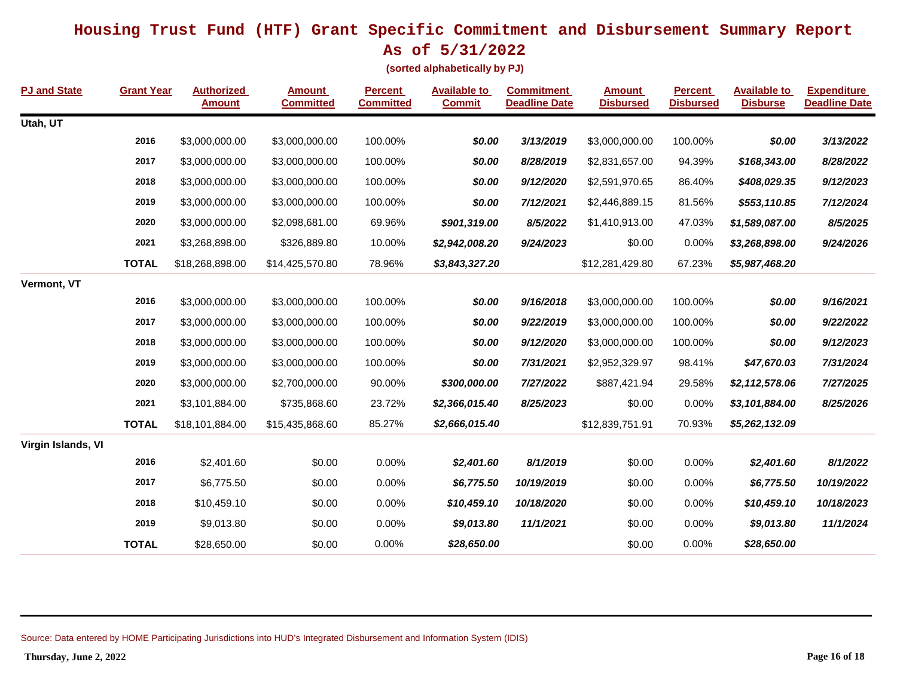**As of 5/31/2022**

**(sorted alphabetically by PJ)**

| <b>PJ and State</b> | <b>Grant Year</b> | <b>Authorized</b><br><b>Amount</b> | <b>Amount</b><br><b>Committed</b> | <b>Percent</b><br><b>Committed</b> | <b>Available to</b><br><b>Commit</b> | <b>Commitment</b><br><b>Deadline Date</b> | <b>Amount</b><br><b>Disbursed</b> | <b>Percent</b><br><b>Disbursed</b> | <b>Available to</b><br><b>Disburse</b> | <b>Expenditure</b><br><b>Deadline Date</b> |
|---------------------|-------------------|------------------------------------|-----------------------------------|------------------------------------|--------------------------------------|-------------------------------------------|-----------------------------------|------------------------------------|----------------------------------------|--------------------------------------------|
| Utah, UT            |                   |                                    |                                   |                                    |                                      |                                           |                                   |                                    |                                        |                                            |
|                     | 2016              | \$3,000,000.00                     | \$3,000,000.00                    | 100.00%                            | \$0.00                               | 3/13/2019                                 | \$3,000,000.00                    | 100.00%                            | \$0.00                                 | 3/13/2022                                  |
|                     | 2017              | \$3,000,000.00                     | \$3,000,000.00                    | 100.00%                            | \$0.00                               | 8/28/2019                                 | \$2,831,657.00                    | 94.39%                             | \$168,343.00                           | 8/28/2022                                  |
|                     | 2018              | \$3,000,000.00                     | \$3,000,000.00                    | 100.00%                            | \$0.00                               | 9/12/2020                                 | \$2,591,970.65                    | 86.40%                             | \$408,029.35                           | 9/12/2023                                  |
|                     | 2019              | \$3,000,000.00                     | \$3,000,000.00                    | 100.00%                            | \$0.00                               | 7/12/2021                                 | \$2,446,889.15                    | 81.56%                             | \$553,110.85                           | 7/12/2024                                  |
|                     | 2020              | \$3,000,000.00                     | \$2,098,681.00                    | 69.96%                             | \$901,319.00                         | 8/5/2022                                  | \$1,410,913.00                    | 47.03%                             | \$1,589,087.00                         | 8/5/2025                                   |
|                     | 2021              | \$3,268,898.00                     | \$326,889.80                      | 10.00%                             | \$2,942,008.20                       | 9/24/2023                                 | \$0.00                            | 0.00%                              | \$3,268,898.00                         | 9/24/2026                                  |
|                     | <b>TOTAL</b>      | \$18,268,898.00                    | \$14,425,570.80                   | 78.96%                             | \$3,843,327.20                       |                                           | \$12,281,429.80                   | 67.23%                             | \$5,987,468.20                         |                                            |
| Vermont, VT         |                   |                                    |                                   |                                    |                                      |                                           |                                   |                                    |                                        |                                            |
|                     | 2016              | \$3,000,000.00                     | \$3,000,000.00                    | 100.00%                            | \$0.00                               | 9/16/2018                                 | \$3,000,000.00                    | 100.00%                            | \$0.00                                 | 9/16/2021                                  |
|                     | 2017              | \$3,000,000.00                     | \$3,000,000.00                    | 100.00%                            | \$0.00                               | 9/22/2019                                 | \$3,000,000.00                    | 100.00%                            | \$0.00                                 | 9/22/2022                                  |
|                     | 2018              | \$3,000,000.00                     | \$3,000,000.00                    | 100.00%                            | \$0.00                               | 9/12/2020                                 | \$3,000,000.00                    | 100.00%                            | \$0.00                                 | 9/12/2023                                  |
|                     | 2019              | \$3,000,000.00                     | \$3,000,000.00                    | 100.00%                            | \$0.00                               | 7/31/2021                                 | \$2,952,329.97                    | 98.41%                             | \$47,670.03                            | 7/31/2024                                  |
|                     | 2020              | \$3,000,000.00                     | \$2,700,000.00                    | 90.00%                             | \$300,000.00                         | 7/27/2022                                 | \$887,421.94                      | 29.58%                             | \$2,112,578.06                         | 7/27/2025                                  |
|                     | 2021              | \$3,101,884.00                     | \$735,868.60                      | 23.72%                             | \$2,366,015.40                       | 8/25/2023                                 | \$0.00                            | 0.00%                              | \$3,101,884.00                         | 8/25/2026                                  |
|                     | <b>TOTAL</b>      | \$18,101,884.00                    | \$15,435,868.60                   | 85.27%                             | \$2,666,015.40                       |                                           | \$12,839,751.91                   | 70.93%                             | \$5,262,132.09                         |                                            |
| Virgin Islands, VI  |                   |                                    |                                   |                                    |                                      |                                           |                                   |                                    |                                        |                                            |
|                     | 2016              | \$2,401.60                         | \$0.00                            | 0.00%                              | \$2,401.60                           | 8/1/2019                                  | \$0.00                            | 0.00%                              | \$2,401.60                             | 8/1/2022                                   |
|                     | 2017              | \$6,775.50                         | \$0.00                            | 0.00%                              | \$6,775.50                           | 10/19/2019                                | \$0.00                            | 0.00%                              | \$6,775.50                             | 10/19/2022                                 |
|                     | 2018              | \$10,459.10                        | \$0.00                            | 0.00%                              | \$10,459.10                          | 10/18/2020                                | \$0.00                            | 0.00%                              | \$10,459.10                            | 10/18/2023                                 |
|                     | 2019              | \$9,013.80                         | \$0.00                            | 0.00%                              | \$9,013.80                           | 11/1/2021                                 | \$0.00                            | 0.00%                              | \$9,013.80                             | 11/1/2024                                  |
|                     | <b>TOTAL</b>      | \$28,650.00                        | \$0.00                            | 0.00%                              | \$28,650.00                          |                                           | \$0.00                            | 0.00%                              | \$28,650.00                            |                                            |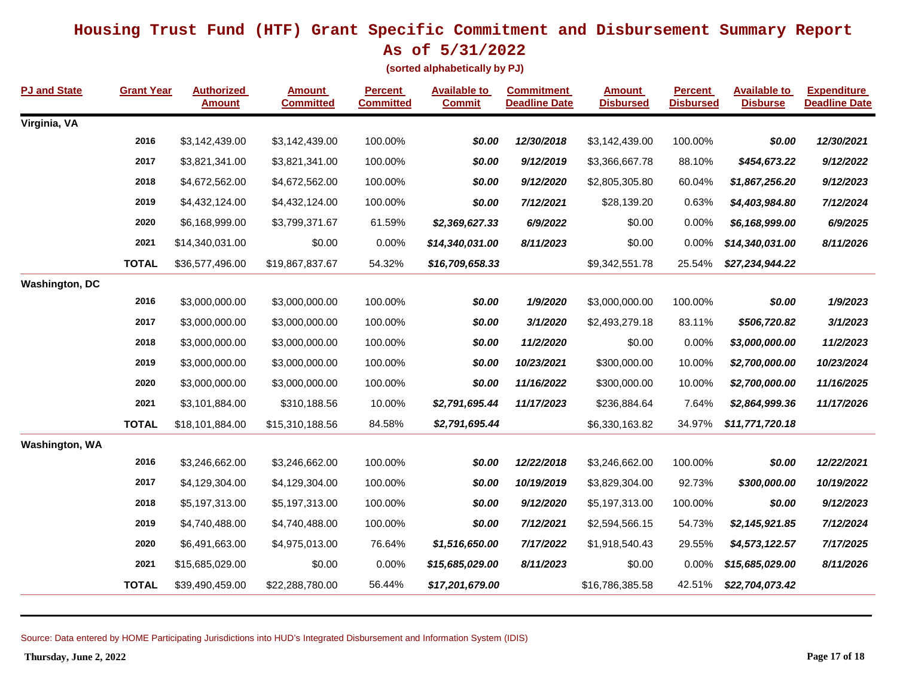**As of 5/31/2022**

**(sorted alphabetically by PJ)**

| <b>PJ and State</b>   | <b>Grant Year</b> | <b>Authorized</b><br><b>Amount</b> | <b>Amount</b><br><b>Committed</b> | <b>Percent</b><br><b>Committed</b> | <b>Available to</b><br><b>Commit</b> | <b>Commitment</b><br><b>Deadline Date</b> | <b>Amount</b><br><b>Disbursed</b> | <b>Percent</b><br><b>Disbursed</b> | <b>Available to</b><br><b>Disburse</b> | <b>Expenditure</b><br><b>Deadline Date</b> |
|-----------------------|-------------------|------------------------------------|-----------------------------------|------------------------------------|--------------------------------------|-------------------------------------------|-----------------------------------|------------------------------------|----------------------------------------|--------------------------------------------|
| Virginia, VA          |                   |                                    |                                   |                                    |                                      |                                           |                                   |                                    |                                        |                                            |
|                       | 2016              | \$3,142,439.00                     | \$3,142,439.00                    | 100.00%                            | \$0.00                               | 12/30/2018                                | \$3,142,439.00                    | 100.00%                            | \$0.00                                 | 12/30/2021                                 |
|                       | 2017              | \$3,821,341.00                     | \$3,821,341.00                    | 100.00%                            | \$0.00                               | 9/12/2019                                 | \$3,366,667.78                    | 88.10%                             | \$454,673.22                           | 9/12/2022                                  |
|                       | 2018              | \$4,672,562.00                     | \$4,672,562.00                    | 100.00%                            | \$0.00                               | 9/12/2020                                 | \$2,805,305.80                    | 60.04%                             | \$1,867,256.20                         | 9/12/2023                                  |
|                       | 2019              | \$4,432,124.00                     | \$4,432,124.00                    | 100.00%                            | \$0.00                               | 7/12/2021                                 | \$28,139.20                       | 0.63%                              | \$4,403,984.80                         | 7/12/2024                                  |
|                       | 2020              | \$6,168,999.00                     | \$3,799,371.67                    | 61.59%                             | \$2,369,627.33                       | 6/9/2022                                  | \$0.00                            | 0.00%                              | \$6,168,999.00                         | 6/9/2025                                   |
|                       | 2021              | \$14,340,031.00                    | \$0.00                            | 0.00%                              | \$14,340,031.00                      | 8/11/2023                                 | \$0.00                            | 0.00%                              | \$14,340,031.00                        | 8/11/2026                                  |
|                       | <b>TOTAL</b>      | \$36,577,496.00                    | \$19,867,837.67                   | 54.32%                             | \$16,709,658.33                      |                                           | \$9,342,551.78                    | 25.54%                             | \$27,234,944.22                        |                                            |
| <b>Washington, DC</b> |                   |                                    |                                   |                                    |                                      |                                           |                                   |                                    |                                        |                                            |
|                       | 2016              | \$3,000,000.00                     | \$3,000,000.00                    | 100.00%                            | \$0.00                               | 1/9/2020                                  | \$3,000,000.00                    | 100.00%                            | \$0.00                                 | 1/9/2023                                   |
|                       | 2017              | \$3,000,000.00                     | \$3,000,000.00                    | 100.00%                            | \$0.00                               | 3/1/2020                                  | \$2,493,279.18                    | 83.11%                             | \$506,720.82                           | 3/1/2023                                   |
|                       | 2018              | \$3,000,000.00                     | \$3,000,000.00                    | 100.00%                            | \$0.00                               | 11/2/2020                                 | \$0.00                            | 0.00%                              | \$3,000,000.00                         | 11/2/2023                                  |
|                       | 2019              | \$3,000,000.00                     | \$3,000,000.00                    | 100.00%                            | \$0.00                               | 10/23/2021                                | \$300,000.00                      | 10.00%                             | \$2,700,000.00                         | 10/23/2024                                 |
|                       | 2020              | \$3,000,000.00                     | \$3,000,000.00                    | 100.00%                            | \$0.00                               | 11/16/2022                                | \$300,000.00                      | 10.00%                             | \$2,700,000.00                         | 11/16/2025                                 |
|                       | 2021              | \$3,101,884.00                     | \$310,188.56                      | 10.00%                             | \$2,791,695.44                       | 11/17/2023                                | \$236,884.64                      | 7.64%                              | \$2,864,999.36                         | 11/17/2026                                 |
|                       | <b>TOTAL</b>      | \$18,101,884.00                    | \$15,310,188.56                   | 84.58%                             | \$2,791,695.44                       |                                           | \$6,330,163.82                    | 34.97%                             | \$11,771,720.18                        |                                            |
| <b>Washington, WA</b> |                   |                                    |                                   |                                    |                                      |                                           |                                   |                                    |                                        |                                            |
|                       | 2016              | \$3,246,662.00                     | \$3,246,662.00                    | 100.00%                            | \$0.00                               | 12/22/2018                                | \$3,246,662.00                    | 100.00%                            | \$0.00                                 | 12/22/2021                                 |
|                       | 2017              | \$4,129,304.00                     | \$4,129,304.00                    | 100.00%                            | \$0.00                               | 10/19/2019                                | \$3,829,304.00                    | 92.73%                             | \$300,000.00                           | 10/19/2022                                 |
|                       | 2018              | \$5,197,313.00                     | \$5,197,313.00                    | 100.00%                            | \$0.00                               | 9/12/2020                                 | \$5,197,313.00                    | 100.00%                            | \$0.00                                 | 9/12/2023                                  |
|                       | 2019              | \$4,740,488.00                     | \$4,740,488.00                    | 100.00%                            | \$0.00                               | 7/12/2021                                 | \$2,594,566.15                    | 54.73%                             | \$2,145,921.85                         | 7/12/2024                                  |
|                       | 2020              | \$6,491,663.00                     | \$4,975,013.00                    | 76.64%                             | \$1,516,650.00                       | 7/17/2022                                 | \$1,918,540.43                    | 29.55%                             | \$4,573,122.57                         | 7/17/2025                                  |
|                       | 2021              | \$15,685,029.00                    | \$0.00                            | 0.00%                              | \$15,685,029.00                      | 8/11/2023                                 | \$0.00                            | 0.00%                              | \$15,685,029.00                        | 8/11/2026                                  |
|                       | <b>TOTAL</b>      | \$39,490,459.00                    | \$22,288,780.00                   | 56.44%                             | \$17,201,679.00                      |                                           | \$16,786,385.58                   | 42.51%                             | \$22,704,073.42                        |                                            |